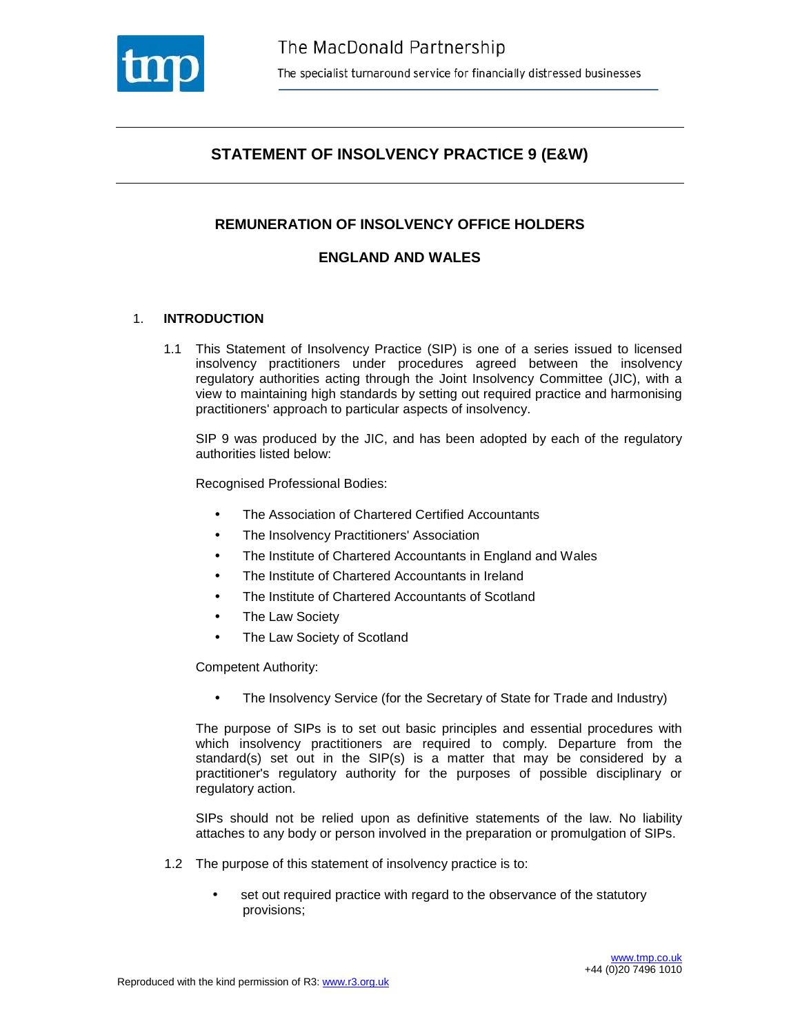

## **STATEMENT OF INSOLVENCY PRACTICE 9 (E&W)**

## **REMUNERATION OF INSOLVENCY OFFICE HOLDERS**

## **ENGLAND AND WALES**

## 1. **INTRODUCTION**

1.1 This Statement of Insolvency Practice (SIP) is one of a series issued to licensed insolvency practitioners under procedures agreed between the insolvency regulatory authorities acting through the Joint Insolvency Committee (JIC), with a view to maintaining high standards by setting out required practice and harmonising practitioners' approach to particular aspects of insolvency.

SIP 9 was produced by the JIC, and has been adopted by each of the regulatory authorities listed below:

Recognised Professional Bodies:

- The Association of Chartered Certified Accountants
- The Insolvency Practitioners' Association
- The Institute of Chartered Accountants in England and Wales
- The Institute of Chartered Accountants in Ireland
- The Institute of Chartered Accountants of Scotland
- **The Law Society**
- The Law Society of Scotland

Competent Authority:

• The Insolvency Service (for the Secretary of State for Trade and Industry)

The purpose of SIPs is to set out basic principles and essential procedures with which insolvency practitioners are required to comply. Departure from the standard(s) set out in the SIP(s) is a matter that may be considered by a practitioner's regulatory authority for the purposes of possible disciplinary or regulatory action.

SIPs should not be relied upon as definitive statements of the law. No liability attaches to any body or person involved in the preparation or promulgation of SIPs.

- 1.2 The purpose of this statement of insolvency practice is to:
	- set out required practice with regard to the observance of the statutory provisions;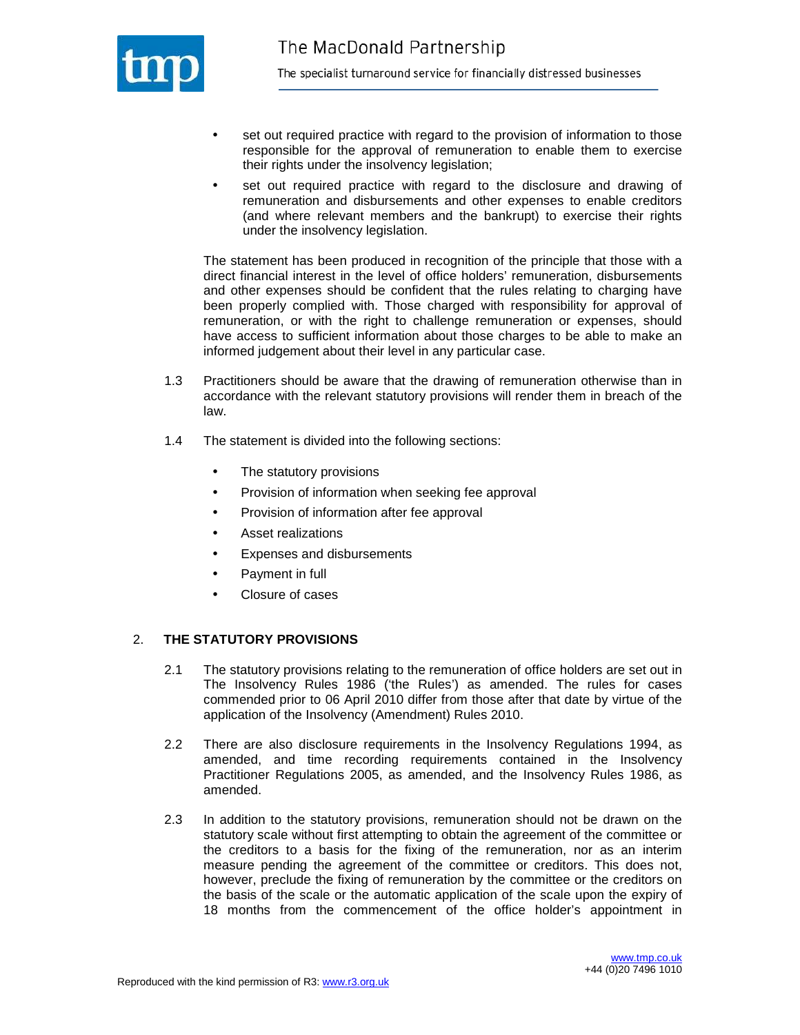

- set out required practice with regard to the provision of information to those responsible for the approval of remuneration to enable them to exercise their rights under the insolvency legislation;
- set out required practice with regard to the disclosure and drawing of remuneration and disbursements and other expenses to enable creditors (and where relevant members and the bankrupt) to exercise their rights under the insolvency legislation.

The statement has been produced in recognition of the principle that those with a direct financial interest in the level of office holders' remuneration, disbursements and other expenses should be confident that the rules relating to charging have been properly complied with. Those charged with responsibility for approval of remuneration, or with the right to challenge remuneration or expenses, should have access to sufficient information about those charges to be able to make an informed judgement about their level in any particular case.

- 1.3 Practitioners should be aware that the drawing of remuneration otherwise than in accordance with the relevant statutory provisions will render them in breach of the law.
- 1.4 The statement is divided into the following sections:
	- The statutory provisions
	- Provision of information when seeking fee approval
	- Provision of information after fee approval
	- Asset realizations
	- Expenses and disbursements
	- Payment in full
	- Closure of cases

#### 2. **THE STATUTORY PROVISIONS**

- 2.1 The statutory provisions relating to the remuneration of office holders are set out in The Insolvency Rules 1986 ('the Rules') as amended. The rules for cases commended prior to 06 April 2010 differ from those after that date by virtue of the application of the Insolvency (Amendment) Rules 2010.
- 2.2 There are also disclosure requirements in the Insolvency Regulations 1994, as amended, and time recording requirements contained in the Insolvency Practitioner Regulations 2005, as amended, and the Insolvency Rules 1986, as amended.
- 2.3 In addition to the statutory provisions, remuneration should not be drawn on the statutory scale without first attempting to obtain the agreement of the committee or the creditors to a basis for the fixing of the remuneration, nor as an interim measure pending the agreement of the committee or creditors. This does not, however, preclude the fixing of remuneration by the committee or the creditors on the basis of the scale or the automatic application of the scale upon the expiry of 18 months from the commencement of the office holder's appointment in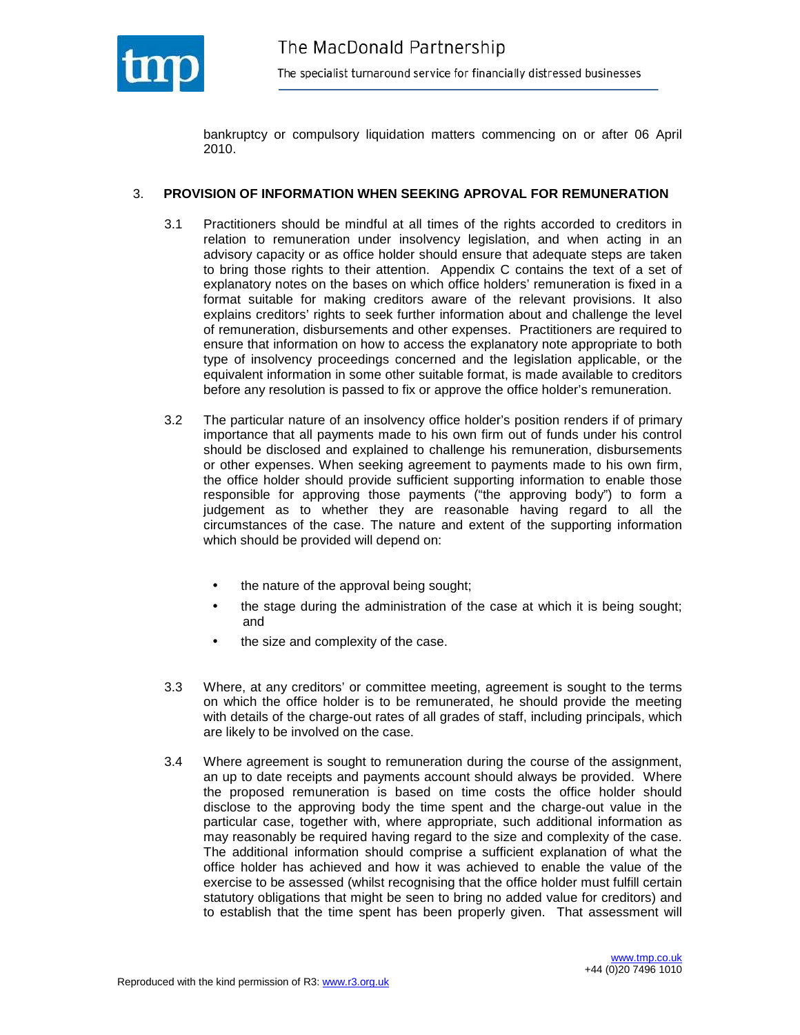

bankruptcy or compulsory liquidation matters commencing on or after 06 April 2010.

#### 3. **PROVISION OF INFORMATION WHEN SEEKING APROVAL FOR REMUNERATION**

- 3.1 Practitioners should be mindful at all times of the rights accorded to creditors in relation to remuneration under insolvency legislation, and when acting in an advisory capacity or as office holder should ensure that adequate steps are taken to bring those rights to their attention. Appendix C contains the text of a set of explanatory notes on the bases on which office holders' remuneration is fixed in a format suitable for making creditors aware of the relevant provisions. It also explains creditors' rights to seek further information about and challenge the level of remuneration, disbursements and other expenses. Practitioners are required to ensure that information on how to access the explanatory note appropriate to both type of insolvency proceedings concerned and the legislation applicable, or the equivalent information in some other suitable format, is made available to creditors before any resolution is passed to fix or approve the office holder's remuneration.
- 3.2 The particular nature of an insolvency office holder's position renders if of primary importance that all payments made to his own firm out of funds under his control should be disclosed and explained to challenge his remuneration, disbursements or other expenses. When seeking agreement to payments made to his own firm, the office holder should provide sufficient supporting information to enable those responsible for approving those payments ("the approving body") to form a judgement as to whether they are reasonable having regard to all the circumstances of the case. The nature and extent of the supporting information which should be provided will depend on:
	- the nature of the approval being sought;
	- the stage during the administration of the case at which it is being sought; and
	- the size and complexity of the case.
- 3.3 Where, at any creditors' or committee meeting, agreement is sought to the terms on which the office holder is to be remunerated, he should provide the meeting with details of the charge-out rates of all grades of staff, including principals, which are likely to be involved on the case.
- 3.4 Where agreement is sought to remuneration during the course of the assignment, an up to date receipts and payments account should always be provided. Where the proposed remuneration is based on time costs the office holder should disclose to the approving body the time spent and the charge-out value in the particular case, together with, where appropriate, such additional information as may reasonably be required having regard to the size and complexity of the case. The additional information should comprise a sufficient explanation of what the office holder has achieved and how it was achieved to enable the value of the exercise to be assessed (whilst recognising that the office holder must fulfill certain statutory obligations that might be seen to bring no added value for creditors) and to establish that the time spent has been properly given. That assessment will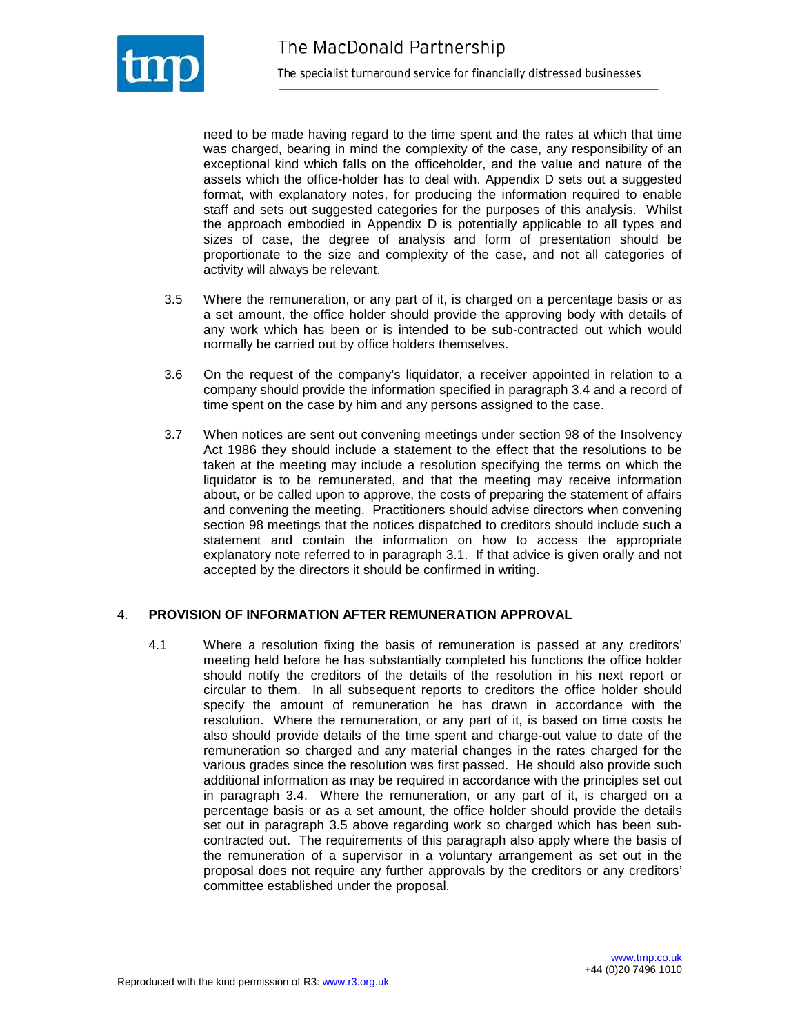

need to be made having regard to the time spent and the rates at which that time was charged, bearing in mind the complexity of the case, any responsibility of an exceptional kind which falls on the officeholder, and the value and nature of the assets which the office-holder has to deal with. Appendix D sets out a suggested format, with explanatory notes, for producing the information required to enable staff and sets out suggested categories for the purposes of this analysis. Whilst the approach embodied in Appendix D is potentially applicable to all types and sizes of case, the degree of analysis and form of presentation should be proportionate to the size and complexity of the case, and not all categories of activity will always be relevant.

- 3.5 Where the remuneration, or any part of it, is charged on a percentage basis or as a set amount, the office holder should provide the approving body with details of any work which has been or is intended to be sub-contracted out which would normally be carried out by office holders themselves.
- 3.6 On the request of the company's liquidator, a receiver appointed in relation to a company should provide the information specified in paragraph 3.4 and a record of time spent on the case by him and any persons assigned to the case.
- 3.7 When notices are sent out convening meetings under section 98 of the Insolvency Act 1986 they should include a statement to the effect that the resolutions to be taken at the meeting may include a resolution specifying the terms on which the liquidator is to be remunerated, and that the meeting may receive information about, or be called upon to approve, the costs of preparing the statement of affairs and convening the meeting. Practitioners should advise directors when convening section 98 meetings that the notices dispatched to creditors should include such a statement and contain the information on how to access the appropriate explanatory note referred to in paragraph 3.1. If that advice is given orally and not accepted by the directors it should be confirmed in writing.

#### 4. **PROVISION OF INFORMATION AFTER REMUNERATION APPROVAL**

4.1 Where a resolution fixing the basis of remuneration is passed at any creditors' meeting held before he has substantially completed his functions the office holder should notify the creditors of the details of the resolution in his next report or circular to them. In all subsequent reports to creditors the office holder should specify the amount of remuneration he has drawn in accordance with the resolution. Where the remuneration, or any part of it, is based on time costs he also should provide details of the time spent and charge-out value to date of the remuneration so charged and any material changes in the rates charged for the various grades since the resolution was first passed. He should also provide such additional information as may be required in accordance with the principles set out in paragraph 3.4. Where the remuneration, or any part of it, is charged on a percentage basis or as a set amount, the office holder should provide the details set out in paragraph 3.5 above regarding work so charged which has been subcontracted out. The requirements of this paragraph also apply where the basis of the remuneration of a supervisor in a voluntary arrangement as set out in the proposal does not require any further approvals by the creditors or any creditors' committee established under the proposal.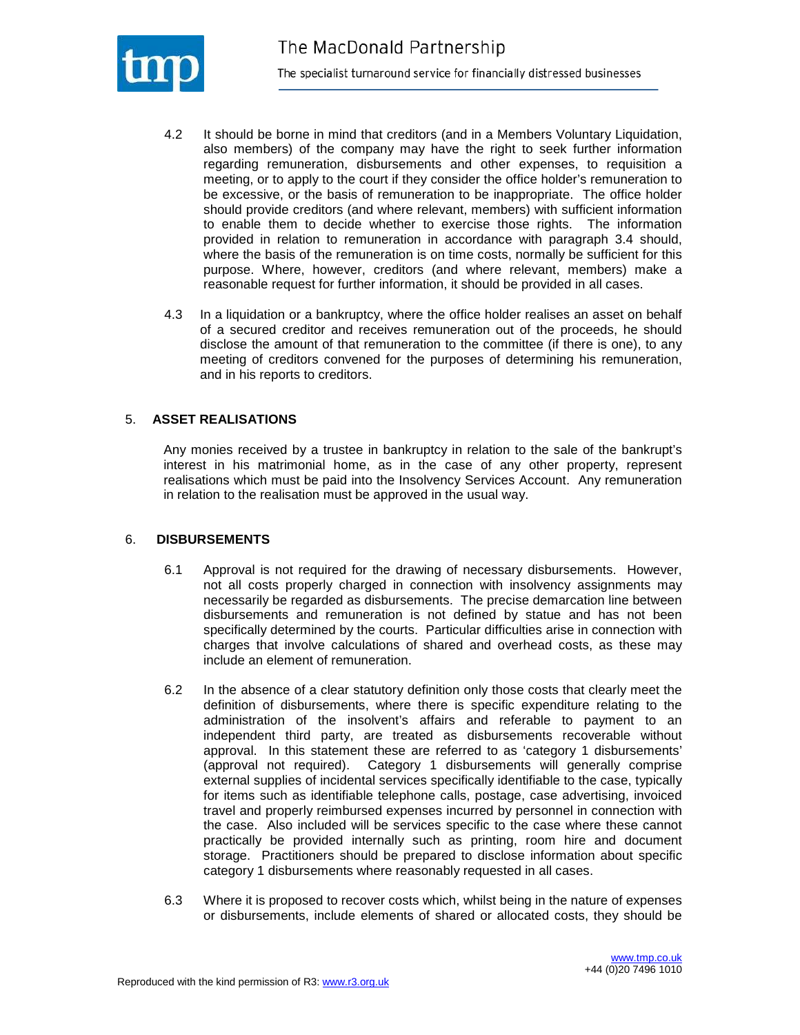

- 4.2 It should be borne in mind that creditors (and in a Members Voluntary Liquidation, also members) of the company may have the right to seek further information regarding remuneration, disbursements and other expenses, to requisition a meeting, or to apply to the court if they consider the office holder's remuneration to be excessive, or the basis of remuneration to be inappropriate. The office holder should provide creditors (and where relevant, members) with sufficient information to enable them to decide whether to exercise those rights. The information provided in relation to remuneration in accordance with paragraph 3.4 should, where the basis of the remuneration is on time costs, normally be sufficient for this purpose. Where, however, creditors (and where relevant, members) make a reasonable request for further information, it should be provided in all cases.
- 4.3 In a liquidation or a bankruptcy, where the office holder realises an asset on behalf of a secured creditor and receives remuneration out of the proceeds, he should disclose the amount of that remuneration to the committee (if there is one), to any meeting of creditors convened for the purposes of determining his remuneration, and in his reports to creditors.

## 5. **ASSET REALISATIONS**

Any monies received by a trustee in bankruptcy in relation to the sale of the bankrupt's interest in his matrimonial home, as in the case of any other property, represent realisations which must be paid into the Insolvency Services Account. Any remuneration in relation to the realisation must be approved in the usual way.

#### 6. **DISBURSEMENTS**

- 6.1 Approval is not required for the drawing of necessary disbursements. However, not all costs properly charged in connection with insolvency assignments may necessarily be regarded as disbursements. The precise demarcation line between disbursements and remuneration is not defined by statue and has not been specifically determined by the courts. Particular difficulties arise in connection with charges that involve calculations of shared and overhead costs, as these may include an element of remuneration.
- 6.2 In the absence of a clear statutory definition only those costs that clearly meet the definition of disbursements, where there is specific expenditure relating to the administration of the insolvent's affairs and referable to payment to an independent third party, are treated as disbursements recoverable without approval. In this statement these are referred to as 'category 1 disbursements' (approval not required). Category 1 disbursements will generally comprise external supplies of incidental services specifically identifiable to the case, typically for items such as identifiable telephone calls, postage, case advertising, invoiced travel and properly reimbursed expenses incurred by personnel in connection with the case. Also included will be services specific to the case where these cannot practically be provided internally such as printing, room hire and document storage. Practitioners should be prepared to disclose information about specific category 1 disbursements where reasonably requested in all cases.
- 6.3 Where it is proposed to recover costs which, whilst being in the nature of expenses or disbursements, include elements of shared or allocated costs, they should be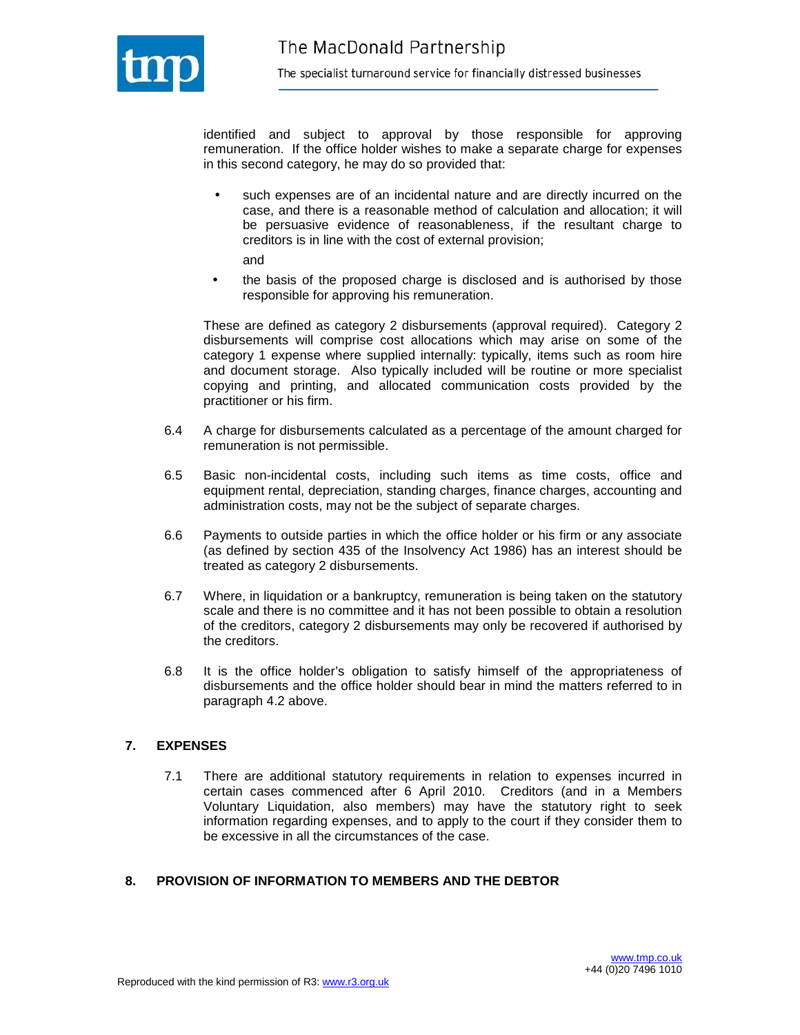

identified and subject to approval by those responsible for approving remuneration. If the office holder wishes to make a separate charge for expenses in this second category, he may do so provided that:

- such expenses are of an incidental nature and are directly incurred on the case, and there is a reasonable method of calculation and allocation; it will be persuasive evidence of reasonableness, if the resultant charge to creditors is in line with the cost of external provision; and
- the basis of the proposed charge is disclosed and is authorised by those responsible for approving his remuneration.

These are defined as category 2 disbursements (approval required). Category 2 disbursements will comprise cost allocations which may arise on some of the category 1 expense where supplied internally: typically, items such as room hire and document storage. Also typically included will be routine or more specialist copying and printing, and allocated communication costs provided by the practitioner or his firm.

- 6.4 A charge for disbursements calculated as a percentage of the amount charged for remuneration is not permissible.
- 6.5 Basic non-incidental costs, including such items as time costs, office and equipment rental, depreciation, standing charges, finance charges, accounting and administration costs, may not be the subject of separate charges.
- 6.6 Payments to outside parties in which the office holder or his firm or any associate (as defined by section 435 of the Insolvency Act 1986) has an interest should be treated as category 2 disbursements.
- 6.7 Where, in liquidation or a bankruptcy, remuneration is being taken on the statutory scale and there is no committee and it has not been possible to obtain a resolution of the creditors, category 2 disbursements may only be recovered if authorised by the creditors.
- 6.8 It is the office holder's obligation to satisfy himself of the appropriateness of disbursements and the office holder should bear in mind the matters referred to in paragraph 4.2 above.

## **7. EXPENSES**

7.1 There are additional statutory requirements in relation to expenses incurred in certain cases commenced after 6 April 2010. Creditors (and in a Members Voluntary Liquidation, also members) may have the statutory right to seek information regarding expenses, and to apply to the court if they consider them to be excessive in all the circumstances of the case.

#### **8. PROVISION OF INFORMATION TO MEMBERS AND THE DEBTOR**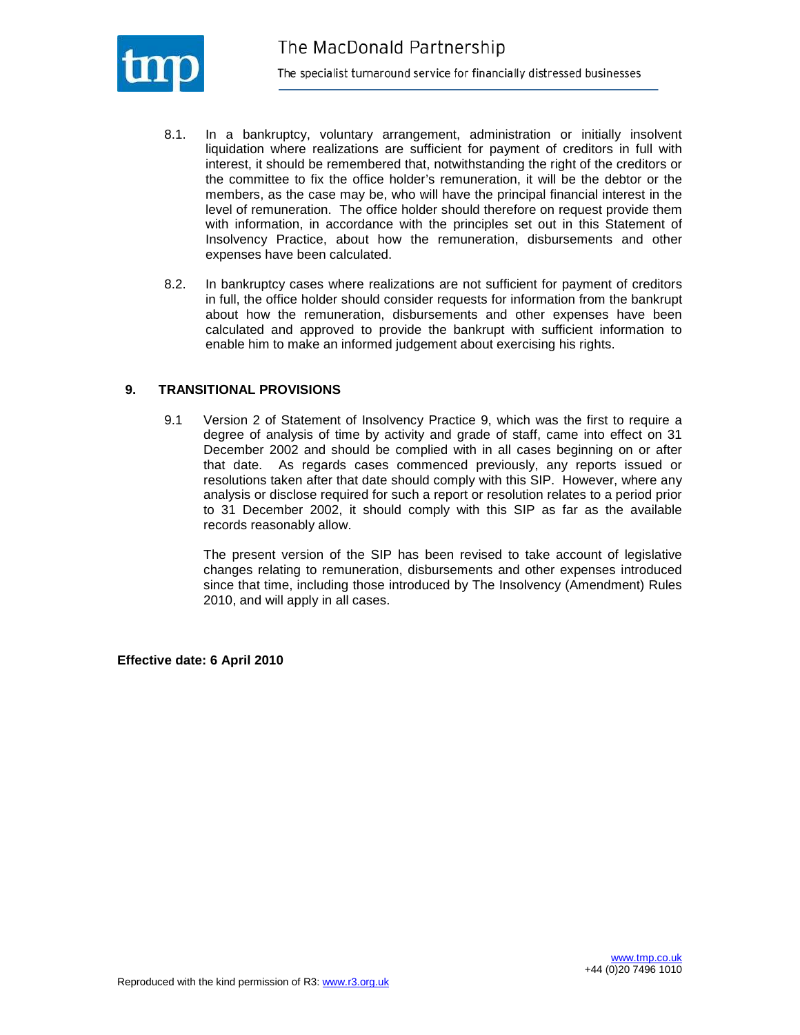

- 8.1. In a bankruptcy, voluntary arrangement, administration or initially insolvent liquidation where realizations are sufficient for payment of creditors in full with interest, it should be remembered that, notwithstanding the right of the creditors or the committee to fix the office holder's remuneration, it will be the debtor or the members, as the case may be, who will have the principal financial interest in the level of remuneration. The office holder should therefore on request provide them with information, in accordance with the principles set out in this Statement of Insolvency Practice, about how the remuneration, disbursements and other expenses have been calculated.
- 8.2. In bankruptcy cases where realizations are not sufficient for payment of creditors in full, the office holder should consider requests for information from the bankrupt about how the remuneration, disbursements and other expenses have been calculated and approved to provide the bankrupt with sufficient information to enable him to make an informed judgement about exercising his rights.

#### **9. TRANSITIONAL PROVISIONS**

9.1 Version 2 of Statement of Insolvency Practice 9, which was the first to require a degree of analysis of time by activity and grade of staff, came into effect on 31 December 2002 and should be complied with in all cases beginning on or after that date. As regards cases commenced previously, any reports issued or resolutions taken after that date should comply with this SIP. However, where any analysis or disclose required for such a report or resolution relates to a period prior to 31 December 2002, it should comply with this SIP as far as the available records reasonably allow.

The present version of the SIP has been revised to take account of legislative changes relating to remuneration, disbursements and other expenses introduced since that time, including those introduced by The Insolvency (Amendment) Rules 2010, and will apply in all cases.

**Effective date: 6 April 2010**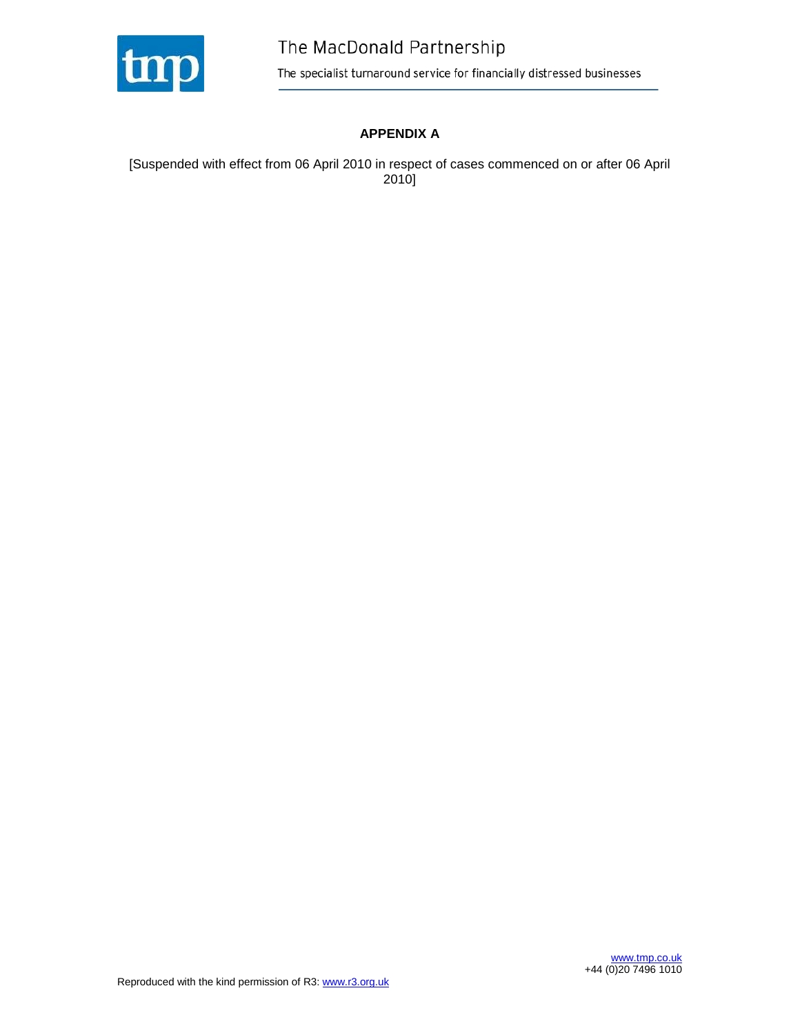

## **APPENDIX A**

[Suspended with effect from 06 April 2010 in respect of cases commenced on or after 06 April 2010]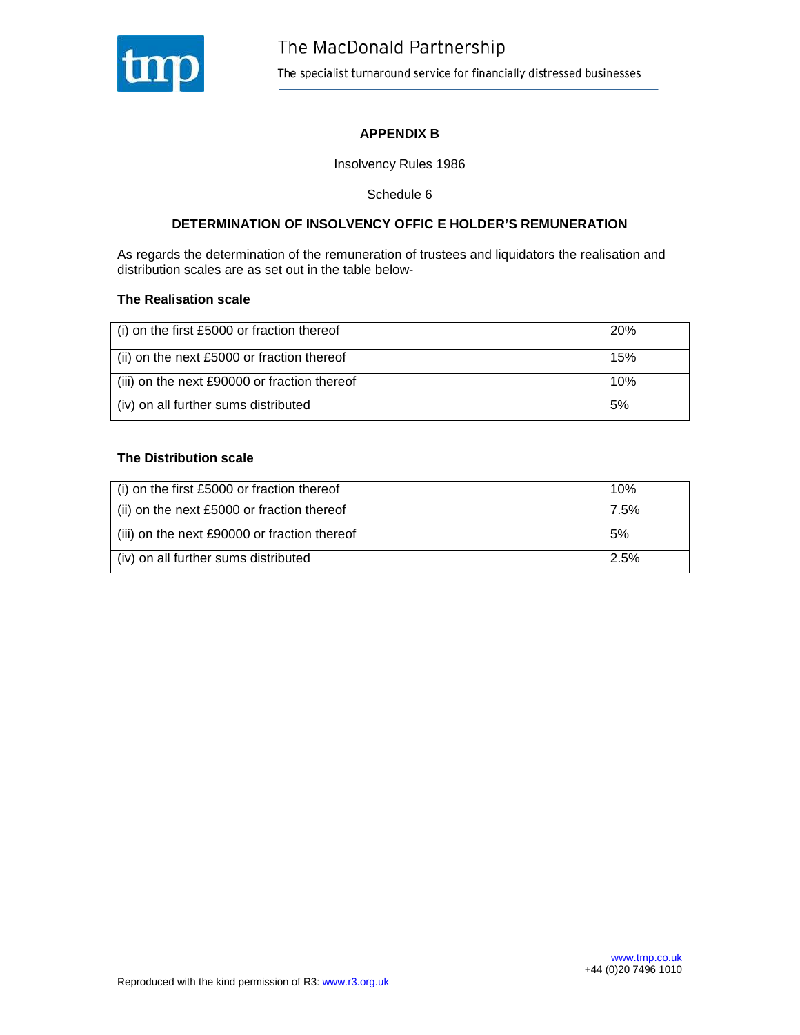

## **APPENDIX B**

Insolvency Rules 1986

Schedule 6

#### **DETERMINATION OF INSOLVENCY OFFIC E HOLDER'S REMUNERATION**

As regards the determination of the remuneration of trustees and liquidators the realisation and distribution scales are as set out in the table below-

#### **The Realisation scale**

| (i) on the first £5000 or fraction thereof   | 20% |
|----------------------------------------------|-----|
| (ii) on the next £5000 or fraction thereof   | 15% |
| (iii) on the next £90000 or fraction thereof | 10% |
| (iv) on all further sums distributed         | .5% |

#### **The Distribution scale**

| $\vert$ (i) on the first £5000 or fraction thereof | 10%  |
|----------------------------------------------------|------|
| $\vert$ (ii) on the next £5000 or fraction thereof | 7.5% |
| (iii) on the next £90000 or fraction thereof       | .5%  |
| (iv) on all further sums distributed               | 2.5% |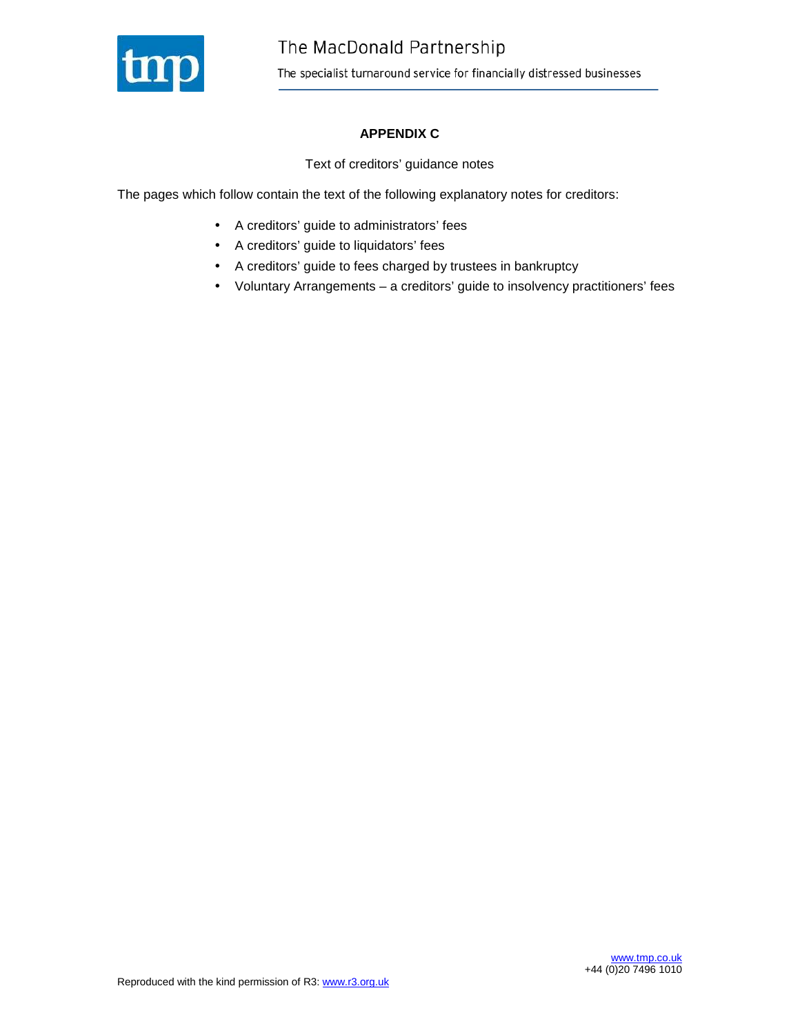

## **APPENDIX C**

Text of creditors' guidance notes

The pages which follow contain the text of the following explanatory notes for creditors:

- A creditors' guide to administrators' fees
- A creditors' guide to liquidators' fees
- A creditors' guide to fees charged by trustees in bankruptcy
- Voluntary Arrangements a creditors' guide to insolvency practitioners' fees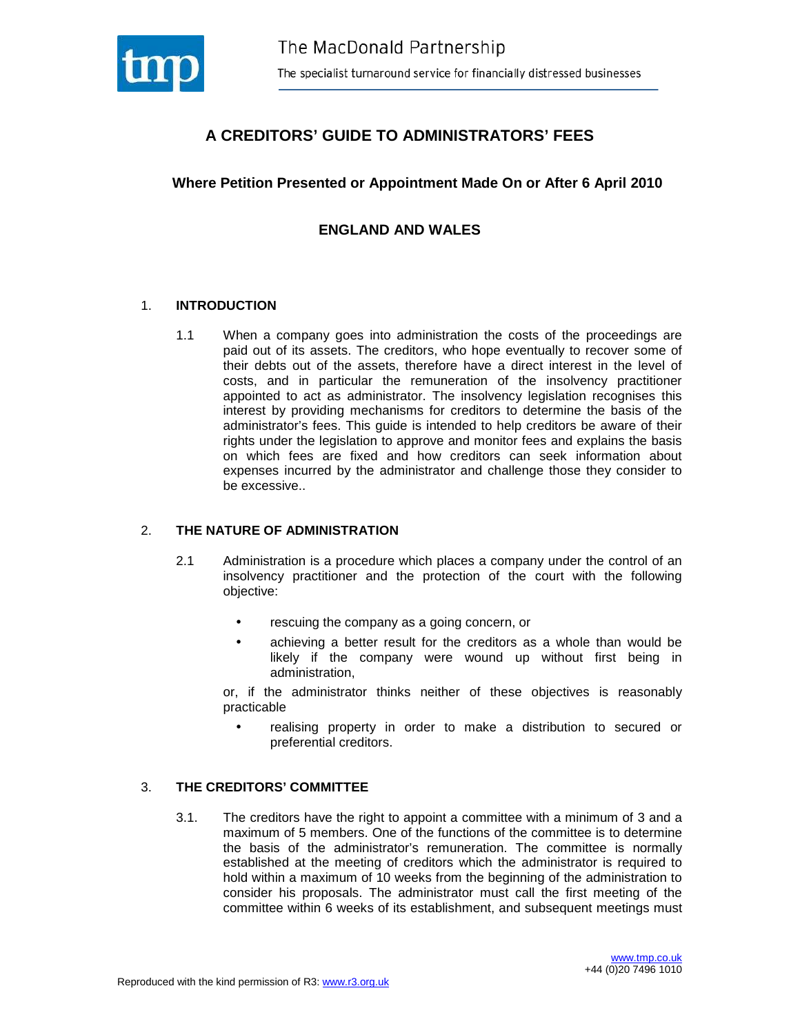

# **A CREDITORS' GUIDE TO ADMINISTRATORS' FEES**

## **Where Petition Presented or Appointment Made On or After 6 April 2010**

## **ENGLAND AND WALES**

#### 1. **INTRODUCTION**

1.1 When a company goes into administration the costs of the proceedings are paid out of its assets. The creditors, who hope eventually to recover some of their debts out of the assets, therefore have a direct interest in the level of costs, and in particular the remuneration of the insolvency practitioner appointed to act as administrator. The insolvency legislation recognises this interest by providing mechanisms for creditors to determine the basis of the administrator's fees. This guide is intended to help creditors be aware of their rights under the legislation to approve and monitor fees and explains the basis on which fees are fixed and how creditors can seek information about expenses incurred by the administrator and challenge those they consider to be excessive..

#### 2. **THE NATURE OF ADMINISTRATION**

- 2.1 Administration is a procedure which places a company under the control of an insolvency practitioner and the protection of the court with the following objective:
	- rescuing the company as a going concern, or
	- achieving a better result for the creditors as a whole than would be likely if the company were wound up without first being in administration,

or, if the administrator thinks neither of these objectives is reasonably practicable

• realising property in order to make a distribution to secured or preferential creditors.

#### 3. **THE CREDITORS' COMMITTEE**

3.1. The creditors have the right to appoint a committee with a minimum of 3 and a maximum of 5 members. One of the functions of the committee is to determine the basis of the administrator's remuneration. The committee is normally established at the meeting of creditors which the administrator is required to hold within a maximum of 10 weeks from the beginning of the administration to consider his proposals. The administrator must call the first meeting of the committee within 6 weeks of its establishment, and subsequent meetings must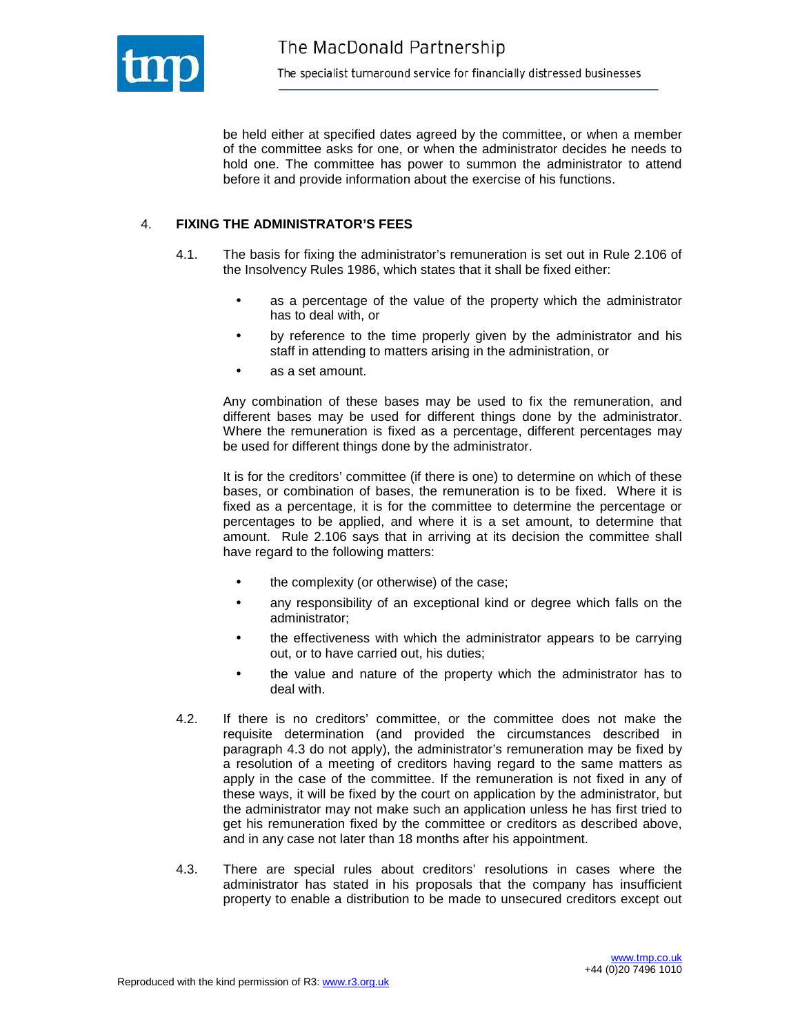

be held either at specified dates agreed by the committee, or when a member of the committee asks for one, or when the administrator decides he needs to hold one. The committee has power to summon the administrator to attend before it and provide information about the exercise of his functions.

#### 4. **FIXING THE ADMINISTRATOR'S FEES**

- 4.1. The basis for fixing the administrator's remuneration is set out in Rule 2.106 of the Insolvency Rules 1986, which states that it shall be fixed either:
	- as a percentage of the value of the property which the administrator has to deal with, or
	- by reference to the time properly given by the administrator and his staff in attending to matters arising in the administration, or
	- as a set amount.

 Any combination of these bases may be used to fix the remuneration, and different bases may be used for different things done by the administrator. Where the remuneration is fixed as a percentage, different percentages may be used for different things done by the administrator.

 It is for the creditors' committee (if there is one) to determine on which of these bases, or combination of bases, the remuneration is to be fixed. Where it is fixed as a percentage, it is for the committee to determine the percentage or percentages to be applied, and where it is a set amount, to determine that amount. Rule 2.106 says that in arriving at its decision the committee shall have regard to the following matters:

- the complexity (or otherwise) of the case;
- any responsibility of an exceptional kind or degree which falls on the administrator;
- the effectiveness with which the administrator appears to be carrying out, or to have carried out, his duties;
- the value and nature of the property which the administrator has to deal with.
- 4.2. If there is no creditors' committee, or the committee does not make the requisite determination (and provided the circumstances described in paragraph 4.3 do not apply), the administrator's remuneration may be fixed by a resolution of a meeting of creditors having regard to the same matters as apply in the case of the committee. If the remuneration is not fixed in any of these ways, it will be fixed by the court on application by the administrator, but the administrator may not make such an application unless he has first tried to get his remuneration fixed by the committee or creditors as described above, and in any case not later than 18 months after his appointment.
- 4.3. There are special rules about creditors' resolutions in cases where the administrator has stated in his proposals that the company has insufficient property to enable a distribution to be made to unsecured creditors except out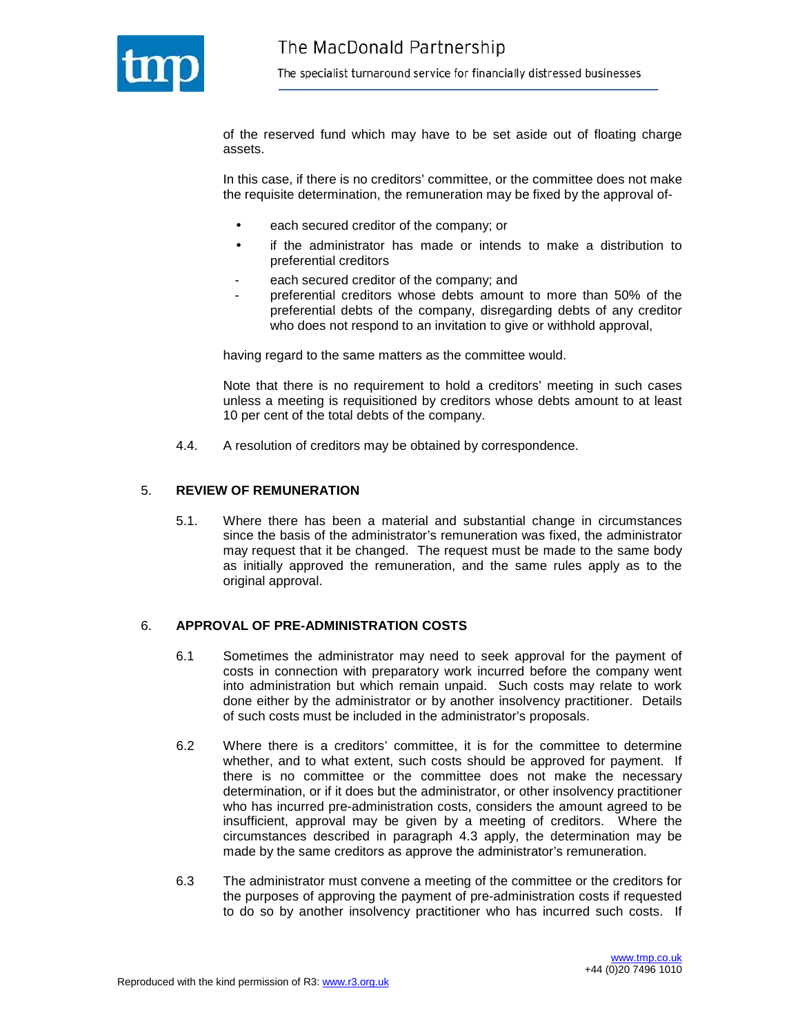

of the reserved fund which may have to be set aside out of floating charge assets.

In this case, if there is no creditors' committee, or the committee does not make the requisite determination, the remuneration may be fixed by the approval of-

- each secured creditor of the company; or
- if the administrator has made or intends to make a distribution to preferential creditors
- each secured creditor of the company; and
- preferential creditors whose debts amount to more than 50% of the preferential debts of the company, disregarding debts of any creditor who does not respond to an invitation to give or withhold approval,

having regard to the same matters as the committee would.

Note that there is no requirement to hold a creditors' meeting in such cases unless a meeting is requisitioned by creditors whose debts amount to at least 10 per cent of the total debts of the company.

4.4. A resolution of creditors may be obtained by correspondence.

#### 5. **REVIEW OF REMUNERATION**

5.1. Where there has been a material and substantial change in circumstances since the basis of the administrator's remuneration was fixed, the administrator may request that it be changed. The request must be made to the same body as initially approved the remuneration, and the same rules apply as to the original approval.

#### 6. **APPROVAL OF PRE-ADMINISTRATION COSTS**

- 6.1 Sometimes the administrator may need to seek approval for the payment of costs in connection with preparatory work incurred before the company went into administration but which remain unpaid. Such costs may relate to work done either by the administrator or by another insolvency practitioner. Details of such costs must be included in the administrator's proposals.
- 6.2 Where there is a creditors' committee, it is for the committee to determine whether, and to what extent, such costs should be approved for payment. If there is no committee or the committee does not make the necessary determination, or if it does but the administrator, or other insolvency practitioner who has incurred pre-administration costs, considers the amount agreed to be insufficient, approval may be given by a meeting of creditors. Where the circumstances described in paragraph 4.3 apply, the determination may be made by the same creditors as approve the administrator's remuneration.
- 6.3 The administrator must convene a meeting of the committee or the creditors for the purposes of approving the payment of pre-administration costs if requested to do so by another insolvency practitioner who has incurred such costs. If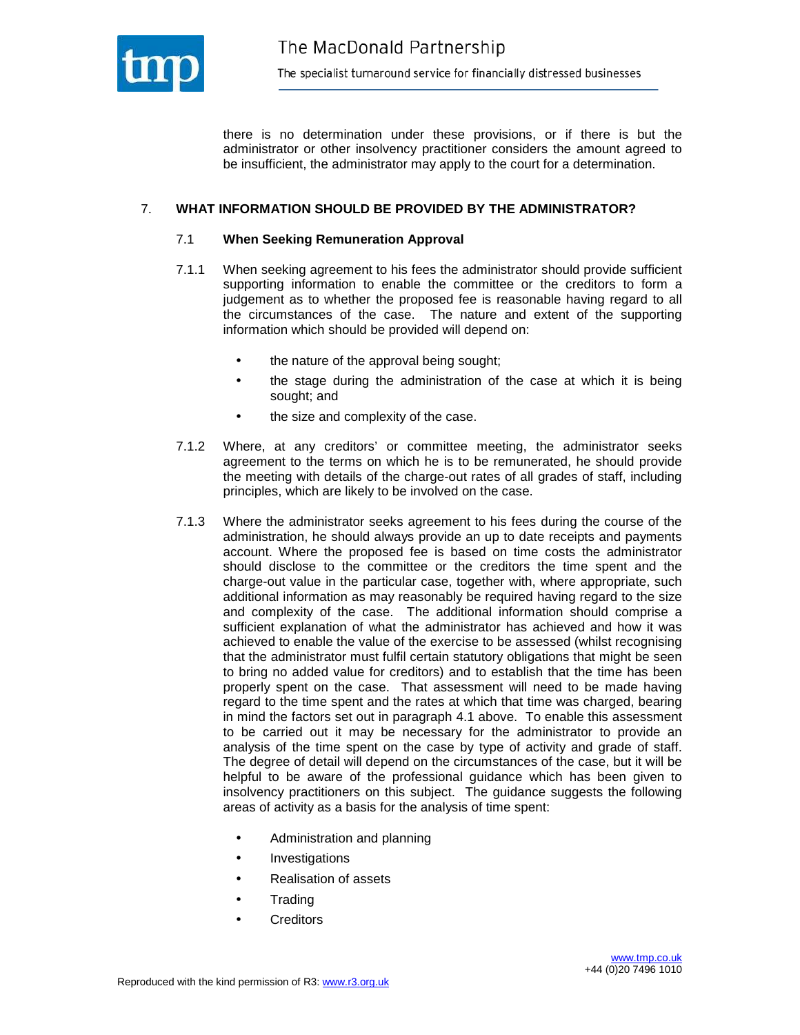

there is no determination under these provisions, or if there is but the administrator or other insolvency practitioner considers the amount agreed to be insufficient, the administrator may apply to the court for a determination.

#### 7. **WHAT INFORMATION SHOULD BE PROVIDED BY THE ADMINISTRATOR?**

#### 7.1 **When Seeking Remuneration Approval**

- 7.1.1 When seeking agreement to his fees the administrator should provide sufficient supporting information to enable the committee or the creditors to form a judgement as to whether the proposed fee is reasonable having regard to all the circumstances of the case. The nature and extent of the supporting information which should be provided will depend on:
	- the nature of the approval being sought;
	- the stage during the administration of the case at which it is being sought; and
	- the size and complexity of the case.
- 7.1.2 Where, at any creditors' or committee meeting, the administrator seeks agreement to the terms on which he is to be remunerated, he should provide the meeting with details of the charge-out rates of all grades of staff, including principles, which are likely to be involved on the case.
- 7.1.3 Where the administrator seeks agreement to his fees during the course of the administration, he should always provide an up to date receipts and payments account. Where the proposed fee is based on time costs the administrator should disclose to the committee or the creditors the time spent and the charge-out value in the particular case, together with, where appropriate, such additional information as may reasonably be required having regard to the size and complexity of the case. The additional information should comprise a sufficient explanation of what the administrator has achieved and how it was achieved to enable the value of the exercise to be assessed (whilst recognising that the administrator must fulfil certain statutory obligations that might be seen to bring no added value for creditors) and to establish that the time has been properly spent on the case. That assessment will need to be made having regard to the time spent and the rates at which that time was charged, bearing in mind the factors set out in paragraph 4.1 above. To enable this assessment to be carried out it may be necessary for the administrator to provide an analysis of the time spent on the case by type of activity and grade of staff. The degree of detail will depend on the circumstances of the case, but it will be helpful to be aware of the professional guidance which has been given to insolvency practitioners on this subject. The guidance suggests the following areas of activity as a basis for the analysis of time spent:
	- Administration and planning
	- **Investigations**
	- Realisation of assets
	- **Trading**
	- **Creditors**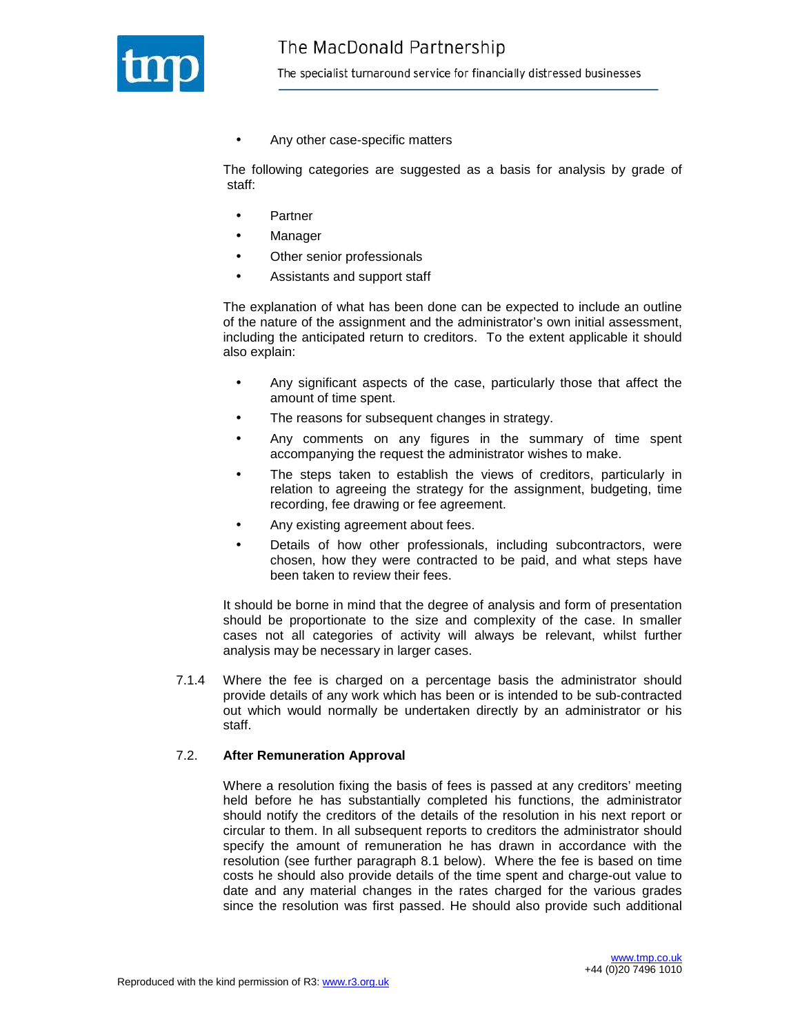

• Any other case-specific matters

The following categories are suggested as a basis for analysis by grade of staff:

- Partner
- Manager
- Other senior professionals
- Assistants and support staff

 The explanation of what has been done can be expected to include an outline of the nature of the assignment and the administrator's own initial assessment, including the anticipated return to creditors. To the extent applicable it should also explain:

- Any significant aspects of the case, particularly those that affect the amount of time spent.
- The reasons for subsequent changes in strategy.
- Any comments on any figures in the summary of time spent accompanying the request the administrator wishes to make.
- The steps taken to establish the views of creditors, particularly in relation to agreeing the strategy for the assignment, budgeting, time recording, fee drawing or fee agreement.
- Any existing agreement about fees.
- Details of how other professionals, including subcontractors, were chosen, how they were contracted to be paid, and what steps have been taken to review their fees.

It should be borne in mind that the degree of analysis and form of presentation should be proportionate to the size and complexity of the case. In smaller cases not all categories of activity will always be relevant, whilst further analysis may be necessary in larger cases.

7.1.4 Where the fee is charged on a percentage basis the administrator should provide details of any work which has been or is intended to be sub-contracted out which would normally be undertaken directly by an administrator or his staff.

#### 7.2. **After Remuneration Approval**

 Where a resolution fixing the basis of fees is passed at any creditors' meeting held before he has substantially completed his functions, the administrator should notify the creditors of the details of the resolution in his next report or circular to them. In all subsequent reports to creditors the administrator should specify the amount of remuneration he has drawn in accordance with the resolution (see further paragraph 8.1 below). Where the fee is based on time costs he should also provide details of the time spent and charge-out value to date and any material changes in the rates charged for the various grades since the resolution was first passed. He should also provide such additional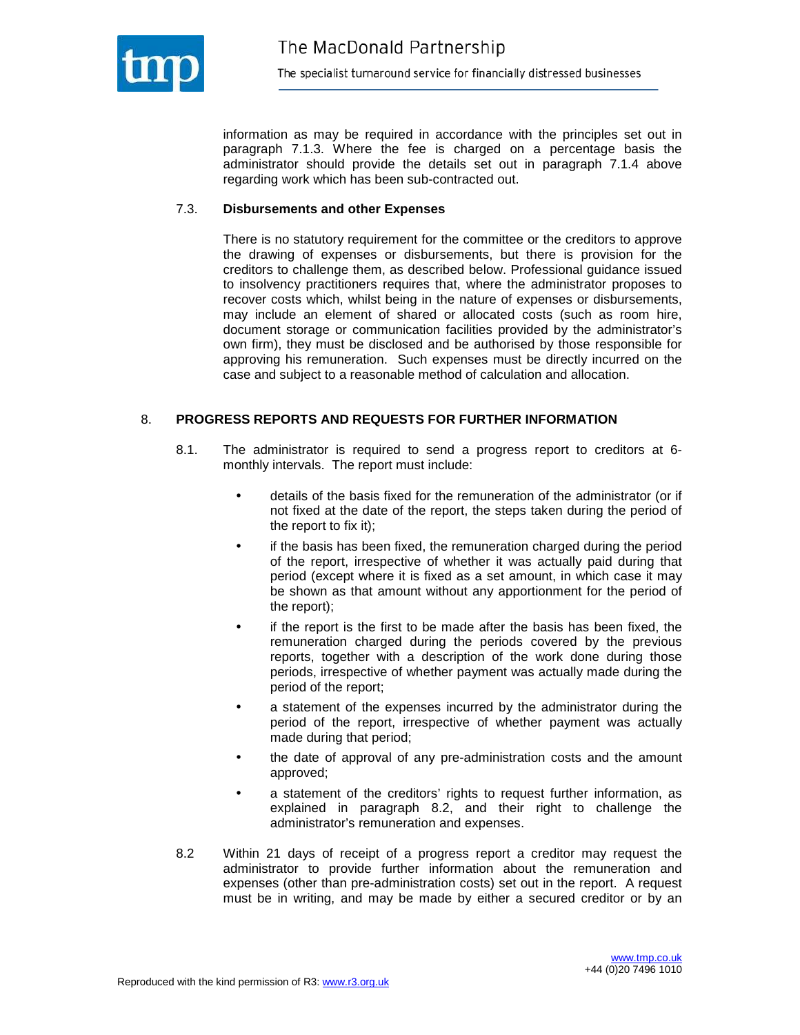

information as may be required in accordance with the principles set out in paragraph 7.1.3. Where the fee is charged on a percentage basis the administrator should provide the details set out in paragraph 7.1.4 above regarding work which has been sub-contracted out.

#### 7.3. **Disbursements and other Expenses**

 There is no statutory requirement for the committee or the creditors to approve the drawing of expenses or disbursements, but there is provision for the creditors to challenge them, as described below. Professional guidance issued to insolvency practitioners requires that, where the administrator proposes to recover costs which, whilst being in the nature of expenses or disbursements, may include an element of shared or allocated costs (such as room hire, document storage or communication facilities provided by the administrator's own firm), they must be disclosed and be authorised by those responsible for approving his remuneration. Such expenses must be directly incurred on the case and subject to a reasonable method of calculation and allocation.

#### 8. **PROGRESS REPORTS AND REQUESTS FOR FURTHER INFORMATION**

- 8.1. The administrator is required to send a progress report to creditors at 6 monthly intervals. The report must include:
	- details of the basis fixed for the remuneration of the administrator (or if not fixed at the date of the report, the steps taken during the period of the report to fix it);
	- if the basis has been fixed, the remuneration charged during the period of the report, irrespective of whether it was actually paid during that period (except where it is fixed as a set amount, in which case it may be shown as that amount without any apportionment for the period of the report);
	- if the report is the first to be made after the basis has been fixed, the remuneration charged during the periods covered by the previous reports, together with a description of the work done during those periods, irrespective of whether payment was actually made during the period of the report;
	- a statement of the expenses incurred by the administrator during the period of the report, irrespective of whether payment was actually made during that period;
	- the date of approval of any pre-administration costs and the amount approved;
	- a statement of the creditors' rights to request further information, as explained in paragraph 8.2, and their right to challenge the administrator's remuneration and expenses.
- 8.2 Within 21 days of receipt of a progress report a creditor may request the administrator to provide further information about the remuneration and expenses (other than pre-administration costs) set out in the report. A request must be in writing, and may be made by either a secured creditor or by an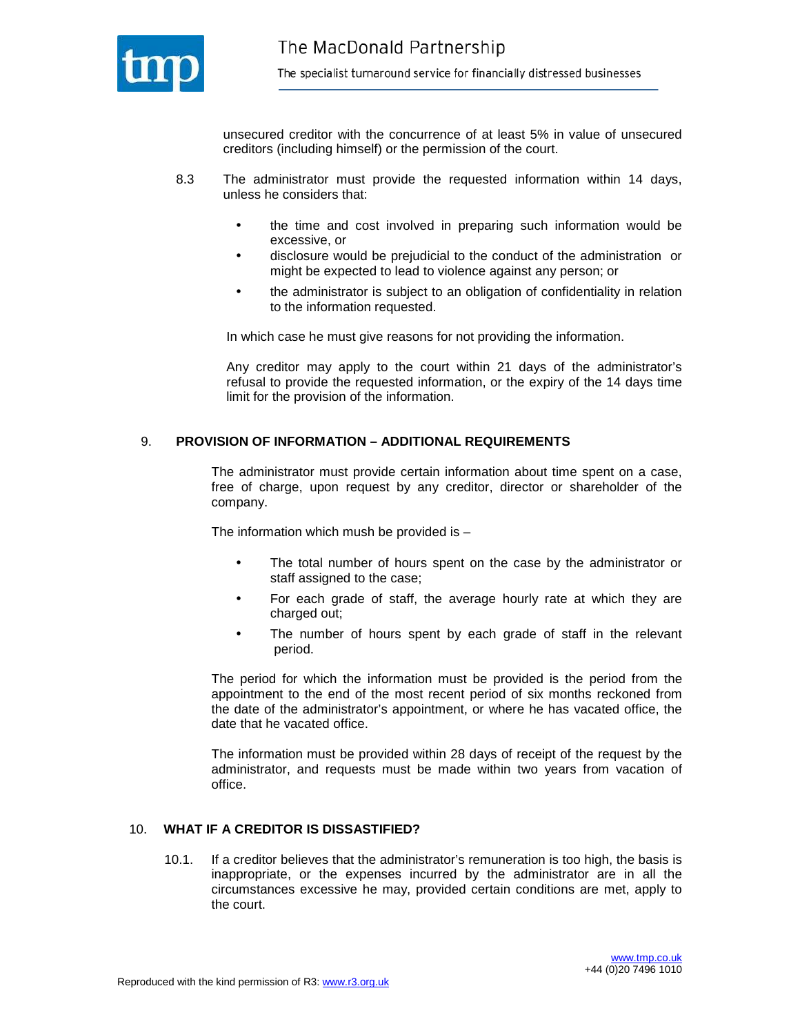

unsecured creditor with the concurrence of at least 5% in value of unsecured creditors (including himself) or the permission of the court.

- 8.3 The administrator must provide the requested information within 14 days, unless he considers that:
	- the time and cost involved in preparing such information would be excessive, or
	- disclosure would be prejudicial to the conduct of the administration or might be expected to lead to violence against any person; or
	- the administrator is subject to an obligation of confidentiality in relation to the information requested.

In which case he must give reasons for not providing the information.

Any creditor may apply to the court within 21 days of the administrator's refusal to provide the requested information, or the expiry of the 14 days time limit for the provision of the information.

#### 9. **PROVISION OF INFORMATION – ADDITIONAL REQUIREMENTS**

The administrator must provide certain information about time spent on a case, free of charge, upon request by any creditor, director or shareholder of the company.

The information which mush be provided is  $-$ 

- The total number of hours spent on the case by the administrator or staff assigned to the case;
- For each grade of staff, the average hourly rate at which they are charged out;
- The number of hours spent by each grade of staff in the relevant period.

The period for which the information must be provided is the period from the appointment to the end of the most recent period of six months reckoned from the date of the administrator's appointment, or where he has vacated office, the date that he vacated office.

The information must be provided within 28 days of receipt of the request by the administrator, and requests must be made within two years from vacation of office.

#### 10. **WHAT IF A CREDITOR IS DISSASTIFIED?**

10.1. If a creditor believes that the administrator's remuneration is too high, the basis is inappropriate, or the expenses incurred by the administrator are in all the circumstances excessive he may, provided certain conditions are met, apply to the court.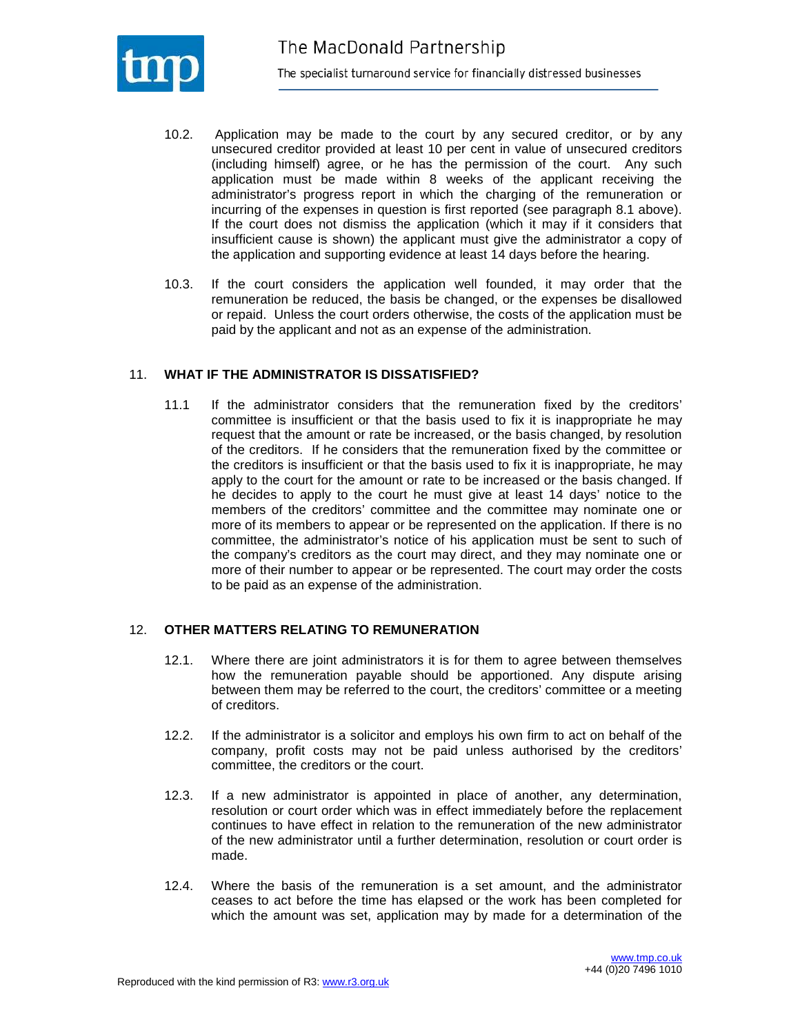

- 10.2. Application may be made to the court by any secured creditor, or by any unsecured creditor provided at least 10 per cent in value of unsecured creditors (including himself) agree, or he has the permission of the court. Any such application must be made within 8 weeks of the applicant receiving the administrator's progress report in which the charging of the remuneration or incurring of the expenses in question is first reported (see paragraph 8.1 above). If the court does not dismiss the application (which it may if it considers that insufficient cause is shown) the applicant must give the administrator a copy of the application and supporting evidence at least 14 days before the hearing.
- 10.3. If the court considers the application well founded, it may order that the remuneration be reduced, the basis be changed, or the expenses be disallowed or repaid. Unless the court orders otherwise, the costs of the application must be paid by the applicant and not as an expense of the administration.

#### 11. **WHAT IF THE ADMINISTRATOR IS DISSATISFIED?**

11.1 If the administrator considers that the remuneration fixed by the creditors' committee is insufficient or that the basis used to fix it is inappropriate he may request that the amount or rate be increased, or the basis changed, by resolution of the creditors. If he considers that the remuneration fixed by the committee or the creditors is insufficient or that the basis used to fix it is inappropriate, he may apply to the court for the amount or rate to be increased or the basis changed. If he decides to apply to the court he must give at least 14 days' notice to the members of the creditors' committee and the committee may nominate one or more of its members to appear or be represented on the application. If there is no committee, the administrator's notice of his application must be sent to such of the company's creditors as the court may direct, and they may nominate one or more of their number to appear or be represented. The court may order the costs to be paid as an expense of the administration.

#### 12. **OTHER MATTERS RELATING TO REMUNERATION**

- 12.1. Where there are joint administrators it is for them to agree between themselves how the remuneration payable should be apportioned. Any dispute arising between them may be referred to the court, the creditors' committee or a meeting of creditors.
- 12.2. If the administrator is a solicitor and employs his own firm to act on behalf of the company, profit costs may not be paid unless authorised by the creditors' committee, the creditors or the court.
- 12.3. If a new administrator is appointed in place of another, any determination, resolution or court order which was in effect immediately before the replacement continues to have effect in relation to the remuneration of the new administrator of the new administrator until a further determination, resolution or court order is made.
- 12.4. Where the basis of the remuneration is a set amount, and the administrator ceases to act before the time has elapsed or the work has been completed for which the amount was set, application may by made for a determination of the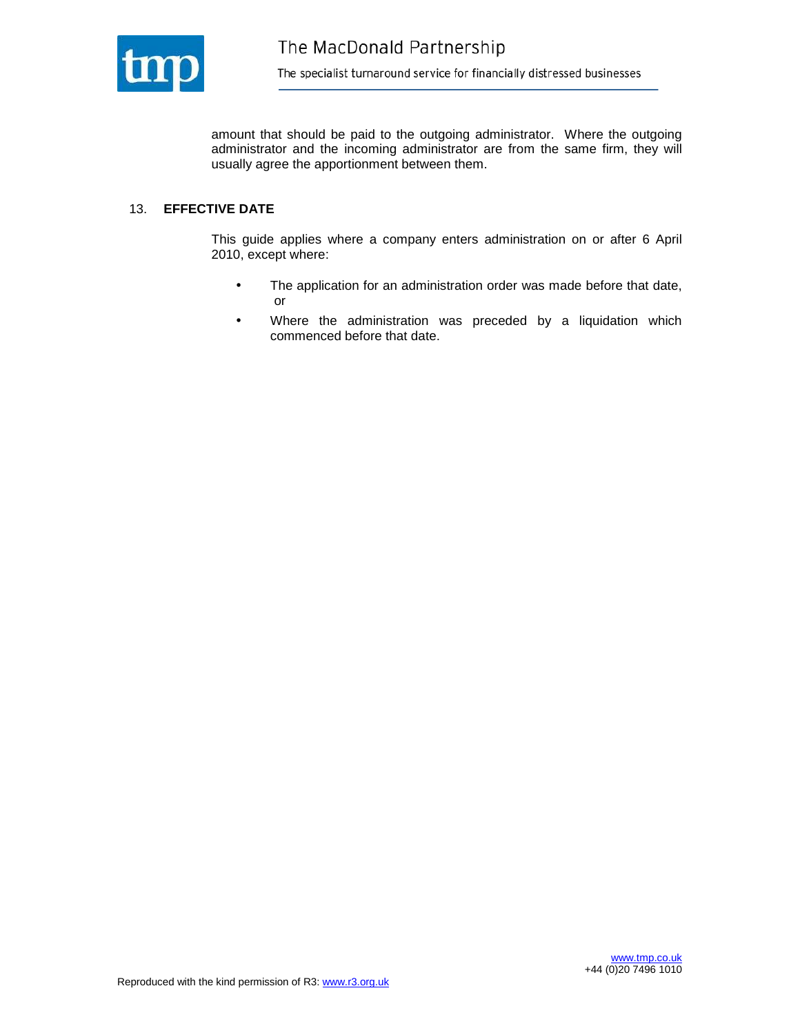

amount that should be paid to the outgoing administrator. Where the outgoing administrator and the incoming administrator are from the same firm, they will usually agree the apportionment between them.

## 13. **EFFECTIVE DATE**

This guide applies where a company enters administration on or after 6 April 2010, except where:

- The application for an administration order was made before that date, or
- Where the administration was preceded by a liquidation which commenced before that date.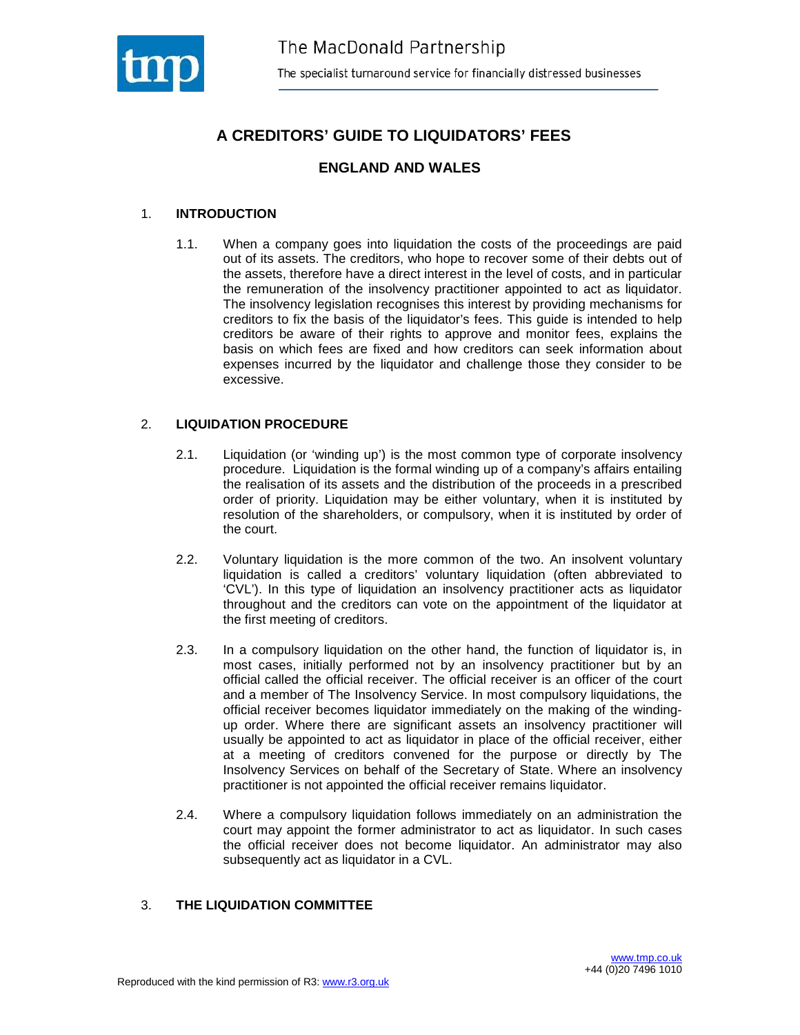

# **A CREDITORS' GUIDE TO LIQUIDATORS' FEES**

## **ENGLAND AND WALES**

## 1. **INTRODUCTION**

1.1. When a company goes into liquidation the costs of the proceedings are paid out of its assets. The creditors, who hope to recover some of their debts out of the assets, therefore have a direct interest in the level of costs, and in particular the remuneration of the insolvency practitioner appointed to act as liquidator. The insolvency legislation recognises this interest by providing mechanisms for creditors to fix the basis of the liquidator's fees. This guide is intended to help creditors be aware of their rights to approve and monitor fees, explains the basis on which fees are fixed and how creditors can seek information about expenses incurred by the liquidator and challenge those they consider to be excessive.

## 2. **LIQUIDATION PROCEDURE**

- 2.1. Liquidation (or 'winding up') is the most common type of corporate insolvency procedure. Liquidation is the formal winding up of a company's affairs entailing the realisation of its assets and the distribution of the proceeds in a prescribed order of priority. Liquidation may be either voluntary, when it is instituted by resolution of the shareholders, or compulsory, when it is instituted by order of the court.
- 2.2. Voluntary liquidation is the more common of the two. An insolvent voluntary liquidation is called a creditors' voluntary liquidation (often abbreviated to 'CVL'). In this type of liquidation an insolvency practitioner acts as liquidator throughout and the creditors can vote on the appointment of the liquidator at the first meeting of creditors.
- 2.3. In a compulsory liquidation on the other hand, the function of liquidator is, in most cases, initially performed not by an insolvency practitioner but by an official called the official receiver. The official receiver is an officer of the court and a member of The Insolvency Service. In most compulsory liquidations, the official receiver becomes liquidator immediately on the making of the windingup order. Where there are significant assets an insolvency practitioner will usually be appointed to act as liquidator in place of the official receiver, either at a meeting of creditors convened for the purpose or directly by The Insolvency Services on behalf of the Secretary of State. Where an insolvency practitioner is not appointed the official receiver remains liquidator.
- 2.4. Where a compulsory liquidation follows immediately on an administration the court may appoint the former administrator to act as liquidator. In such cases the official receiver does not become liquidator. An administrator may also subsequently act as liquidator in a CVL.

#### 3. **THE LIQUIDATION COMMITTEE**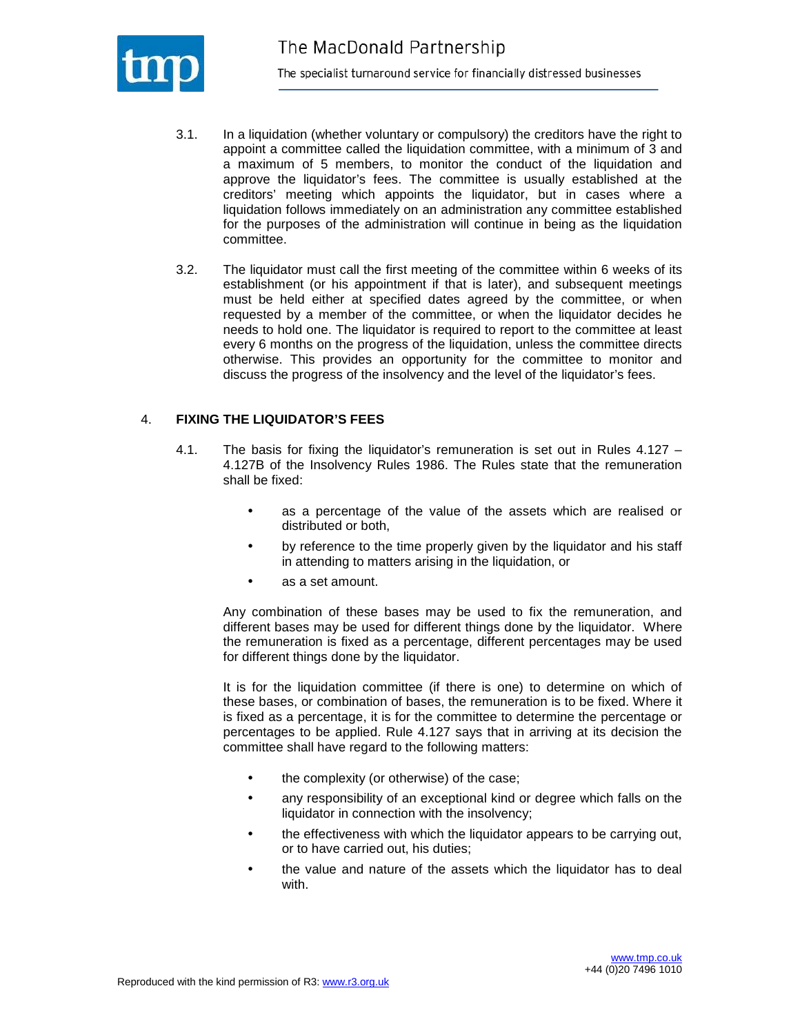

- 3.1. In a liquidation (whether voluntary or compulsory) the creditors have the right to appoint a committee called the liquidation committee, with a minimum of 3 and a maximum of 5 members, to monitor the conduct of the liquidation and approve the liquidator's fees. The committee is usually established at the creditors' meeting which appoints the liquidator, but in cases where a liquidation follows immediately on an administration any committee established for the purposes of the administration will continue in being as the liquidation committee.
- 3.2. The liquidator must call the first meeting of the committee within 6 weeks of its establishment (or his appointment if that is later), and subsequent meetings must be held either at specified dates agreed by the committee, or when requested by a member of the committee, or when the liquidator decides he needs to hold one. The liquidator is required to report to the committee at least every 6 months on the progress of the liquidation, unless the committee directs otherwise. This provides an opportunity for the committee to monitor and discuss the progress of the insolvency and the level of the liquidator's fees.

#### 4. **FIXING THE LIQUIDATOR'S FEES**

- 4.1. The basis for fixing the liquidator's remuneration is set out in Rules 4.127 4.127B of the Insolvency Rules 1986. The Rules state that the remuneration shall be fixed:
	- as a percentage of the value of the assets which are realised or distributed or both,
	- by reference to the time properly given by the liquidator and his staff in attending to matters arising in the liquidation, or
	- as a set amount.

Any combination of these bases may be used to fix the remuneration, and different bases may be used for different things done by the liquidator. Where the remuneration is fixed as a percentage, different percentages may be used for different things done by the liquidator.

It is for the liquidation committee (if there is one) to determine on which of these bases, or combination of bases, the remuneration is to be fixed. Where it is fixed as a percentage, it is for the committee to determine the percentage or percentages to be applied. Rule 4.127 says that in arriving at its decision the committee shall have regard to the following matters:

- the complexity (or otherwise) of the case;
- any responsibility of an exceptional kind or degree which falls on the liquidator in connection with the insolvency;
- the effectiveness with which the liquidator appears to be carrying out, or to have carried out, his duties;
- the value and nature of the assets which the liquidator has to deal with.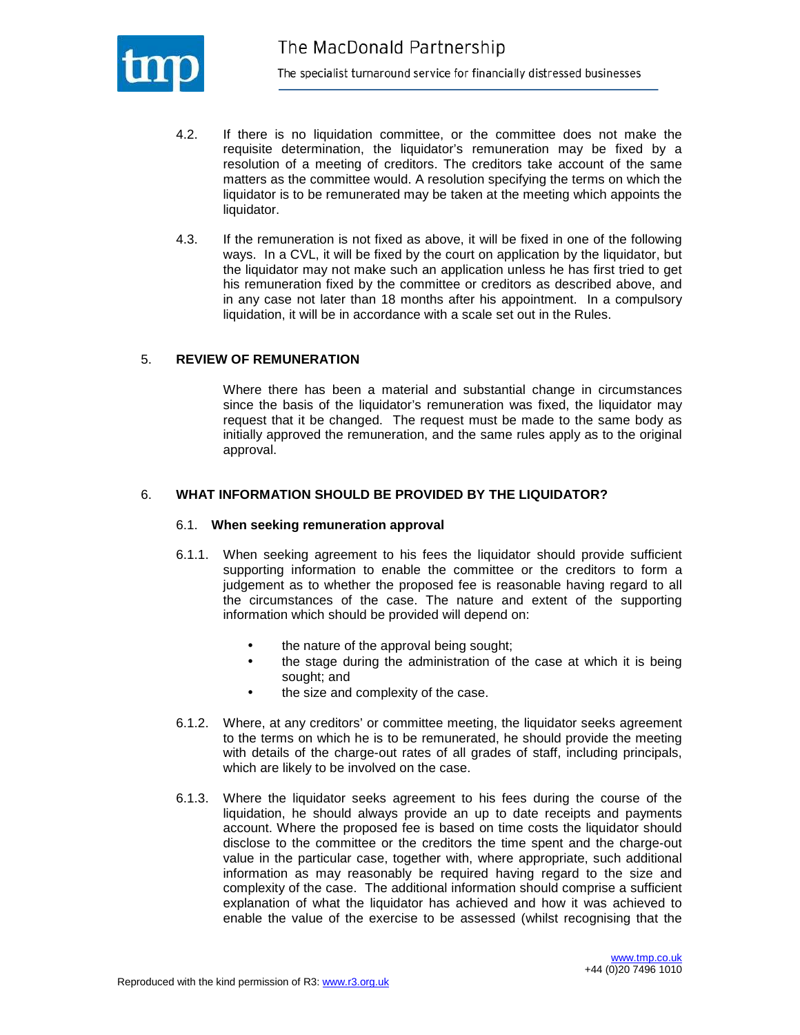

- 4.2. If there is no liquidation committee, or the committee does not make the requisite determination, the liquidator's remuneration may be fixed by a resolution of a meeting of creditors. The creditors take account of the same matters as the committee would. A resolution specifying the terms on which the liquidator is to be remunerated may be taken at the meeting which appoints the liquidator.
- 4.3. If the remuneration is not fixed as above, it will be fixed in one of the following ways. In a CVL, it will be fixed by the court on application by the liquidator, but the liquidator may not make such an application unless he has first tried to get his remuneration fixed by the committee or creditors as described above, and in any case not later than 18 months after his appointment. In a compulsory liquidation, it will be in accordance with a scale set out in the Rules.

#### 5. **REVIEW OF REMUNERATION**

Where there has been a material and substantial change in circumstances since the basis of the liquidator's remuneration was fixed, the liquidator may request that it be changed. The request must be made to the same body as initially approved the remuneration, and the same rules apply as to the original approval.

#### 6. **WHAT INFORMATION SHOULD BE PROVIDED BY THE LIQUIDATOR?**

#### 6.1. **When seeking remuneration approval**

- 6.1.1. When seeking agreement to his fees the liquidator should provide sufficient supporting information to enable the committee or the creditors to form a judgement as to whether the proposed fee is reasonable having regard to all the circumstances of the case. The nature and extent of the supporting information which should be provided will depend on:
	- the nature of the approval being sought;
	- the stage during the administration of the case at which it is being sought; and
	- the size and complexity of the case.
- 6.1.2. Where, at any creditors' or committee meeting, the liquidator seeks agreement to the terms on which he is to be remunerated, he should provide the meeting with details of the charge-out rates of all grades of staff, including principals, which are likely to be involved on the case.
- 6.1.3. Where the liquidator seeks agreement to his fees during the course of the liquidation, he should always provide an up to date receipts and payments account. Where the proposed fee is based on time costs the liquidator should disclose to the committee or the creditors the time spent and the charge-out value in the particular case, together with, where appropriate, such additional information as may reasonably be required having regard to the size and complexity of the case. The additional information should comprise a sufficient explanation of what the liquidator has achieved and how it was achieved to enable the value of the exercise to be assessed (whilst recognising that the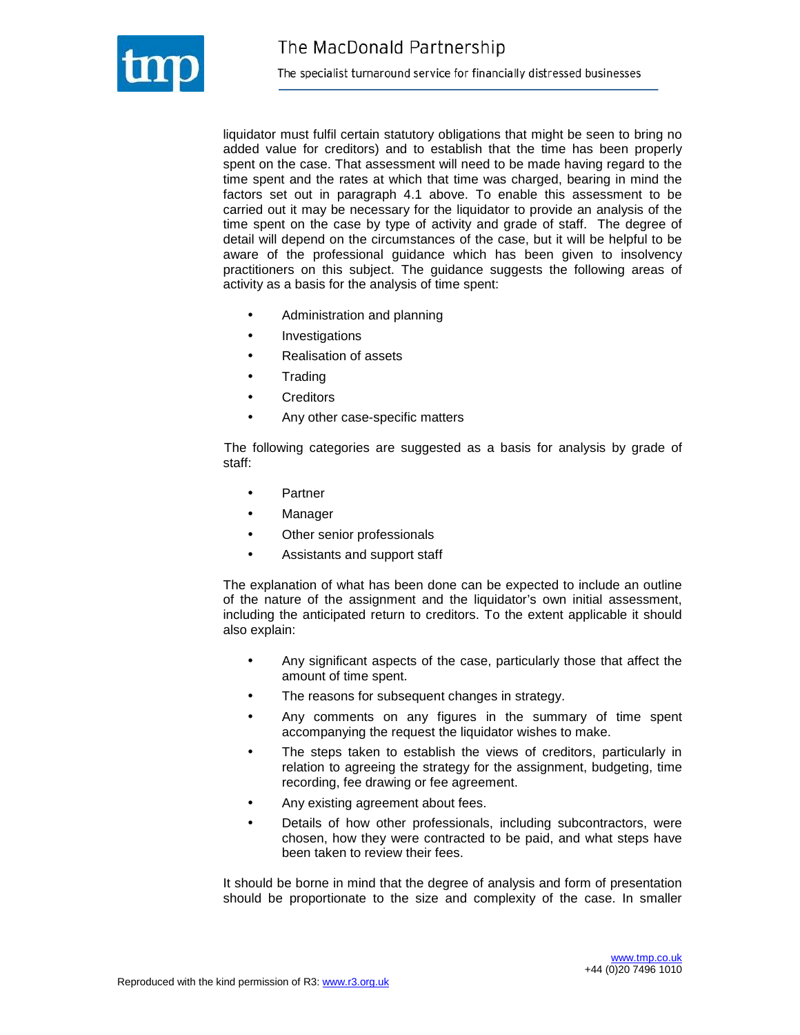

liquidator must fulfil certain statutory obligations that might be seen to bring no added value for creditors) and to establish that the time has been properly spent on the case. That assessment will need to be made having regard to the time spent and the rates at which that time was charged, bearing in mind the factors set out in paragraph 4.1 above. To enable this assessment to be carried out it may be necessary for the liquidator to provide an analysis of the time spent on the case by type of activity and grade of staff. The degree of detail will depend on the circumstances of the case, but it will be helpful to be aware of the professional guidance which has been given to insolvency practitioners on this subject. The guidance suggests the following areas of activity as a basis for the analysis of time spent:

- Administration and planning
- **Investigations**
- Realisation of assets
- Trading
- Creditors
- Any other case-specific matters

The following categories are suggested as a basis for analysis by grade of staff:

- **Partner**
- **Manager**
- Other senior professionals
- Assistants and support staff

The explanation of what has been done can be expected to include an outline of the nature of the assignment and the liquidator's own initial assessment, including the anticipated return to creditors. To the extent applicable it should also explain:

- Any significant aspects of the case, particularly those that affect the amount of time spent.
- The reasons for subsequent changes in strategy.
- Any comments on any figures in the summary of time spent accompanying the request the liquidator wishes to make.
- The steps taken to establish the views of creditors, particularly in relation to agreeing the strategy for the assignment, budgeting, time recording, fee drawing or fee agreement.
- Any existing agreement about fees.
- Details of how other professionals, including subcontractors, were chosen, how they were contracted to be paid, and what steps have been taken to review their fees.

 It should be borne in mind that the degree of analysis and form of presentation should be proportionate to the size and complexity of the case. In smaller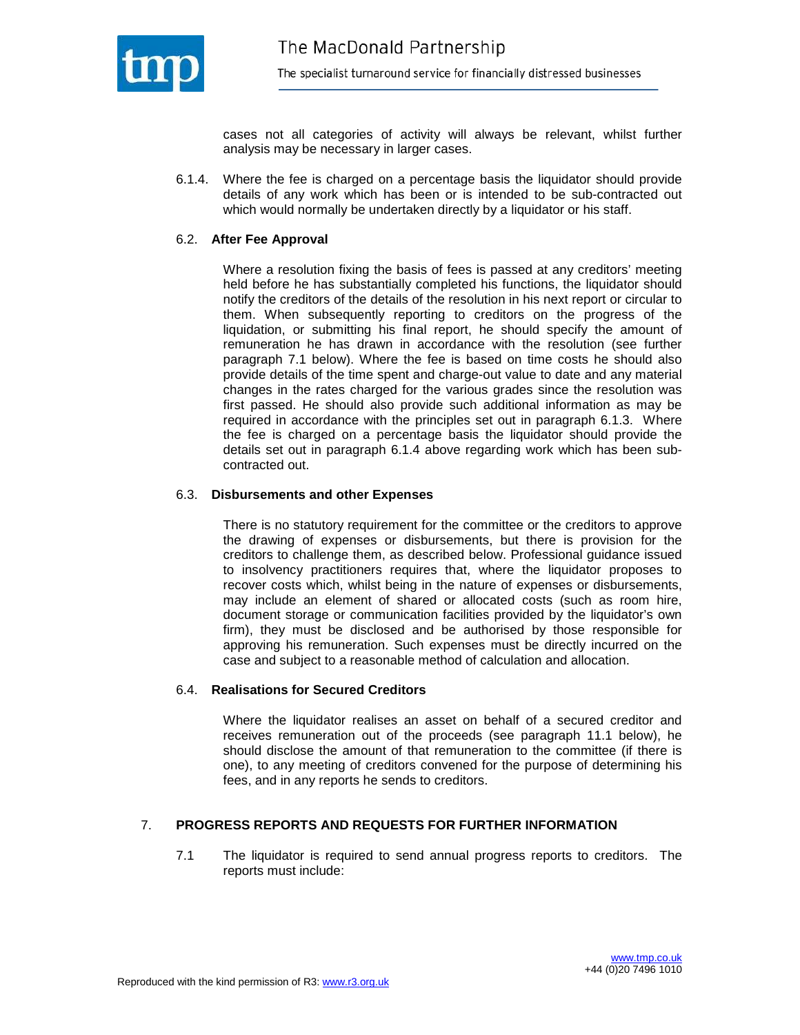

cases not all categories of activity will always be relevant, whilst further analysis may be necessary in larger cases.

6.1.4. Where the fee is charged on a percentage basis the liquidator should provide details of any work which has been or is intended to be sub-contracted out which would normally be undertaken directly by a liquidator or his staff.

#### 6.2. **After Fee Approval**

Where a resolution fixing the basis of fees is passed at any creditors' meeting held before he has substantially completed his functions, the liquidator should notify the creditors of the details of the resolution in his next report or circular to them. When subsequently reporting to creditors on the progress of the liquidation, or submitting his final report, he should specify the amount of remuneration he has drawn in accordance with the resolution (see further paragraph 7.1 below). Where the fee is based on time costs he should also provide details of the time spent and charge-out value to date and any material changes in the rates charged for the various grades since the resolution was first passed. He should also provide such additional information as may be required in accordance with the principles set out in paragraph 6.1.3. Where the fee is charged on a percentage basis the liquidator should provide the details set out in paragraph 6.1.4 above regarding work which has been subcontracted out.

#### 6.3. **Disbursements and other Expenses**

There is no statutory requirement for the committee or the creditors to approve the drawing of expenses or disbursements, but there is provision for the creditors to challenge them, as described below. Professional guidance issued to insolvency practitioners requires that, where the liquidator proposes to recover costs which, whilst being in the nature of expenses or disbursements, may include an element of shared or allocated costs (such as room hire, document storage or communication facilities provided by the liquidator's own firm), they must be disclosed and be authorised by those responsible for approving his remuneration. Such expenses must be directly incurred on the case and subject to a reasonable method of calculation and allocation.

#### 6.4. **Realisations for Secured Creditors**

Where the liquidator realises an asset on behalf of a secured creditor and receives remuneration out of the proceeds (see paragraph 11.1 below), he should disclose the amount of that remuneration to the committee (if there is one), to any meeting of creditors convened for the purpose of determining his fees, and in any reports he sends to creditors.

#### 7. **PROGRESS REPORTS AND REQUESTS FOR FURTHER INFORMATION**

7.1 The liquidator is required to send annual progress reports to creditors. The reports must include: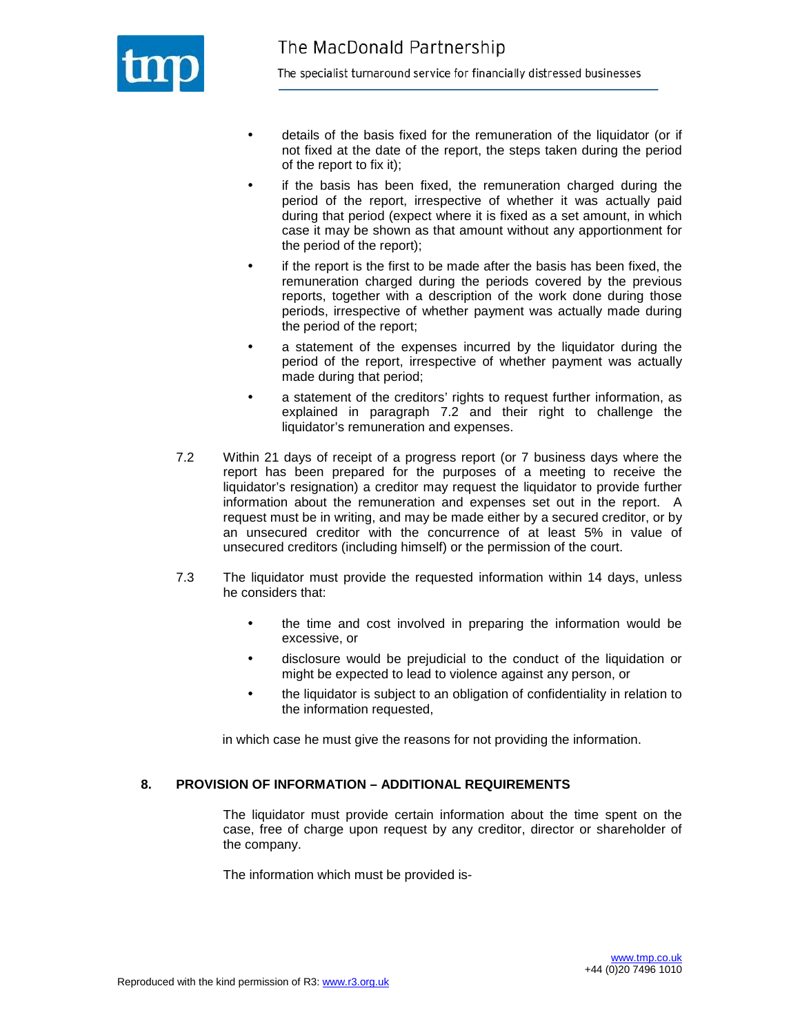

- details of the basis fixed for the remuneration of the liquidator (or if not fixed at the date of the report, the steps taken during the period of the report to fix it);
- if the basis has been fixed, the remuneration charged during the period of the report, irrespective of whether it was actually paid during that period (expect where it is fixed as a set amount, in which case it may be shown as that amount without any apportionment for the period of the report);
- if the report is the first to be made after the basis has been fixed, the remuneration charged during the periods covered by the previous reports, together with a description of the work done during those periods, irrespective of whether payment was actually made during the period of the report;
- a statement of the expenses incurred by the liquidator during the period of the report, irrespective of whether payment was actually made during that period;
- a statement of the creditors' rights to request further information, as explained in paragraph 7.2 and their right to challenge the liquidator's remuneration and expenses.
- 7.2 Within 21 days of receipt of a progress report (or 7 business days where the report has been prepared for the purposes of a meeting to receive the liquidator's resignation) a creditor may request the liquidator to provide further information about the remuneration and expenses set out in the report. A request must be in writing, and may be made either by a secured creditor, or by an unsecured creditor with the concurrence of at least 5% in value of unsecured creditors (including himself) or the permission of the court.
- 7.3 The liquidator must provide the requested information within 14 days, unless he considers that:
	- the time and cost involved in preparing the information would be excessive, or
	- disclosure would be prejudicial to the conduct of the liquidation or might be expected to lead to violence against any person, or
	- the liquidator is subject to an obligation of confidentiality in relation to the information requested,

in which case he must give the reasons for not providing the information.

#### **8. PROVISION OF INFORMATION – ADDITIONAL REQUIREMENTS**

The liquidator must provide certain information about the time spent on the case, free of charge upon request by any creditor, director or shareholder of the company.

The information which must be provided is-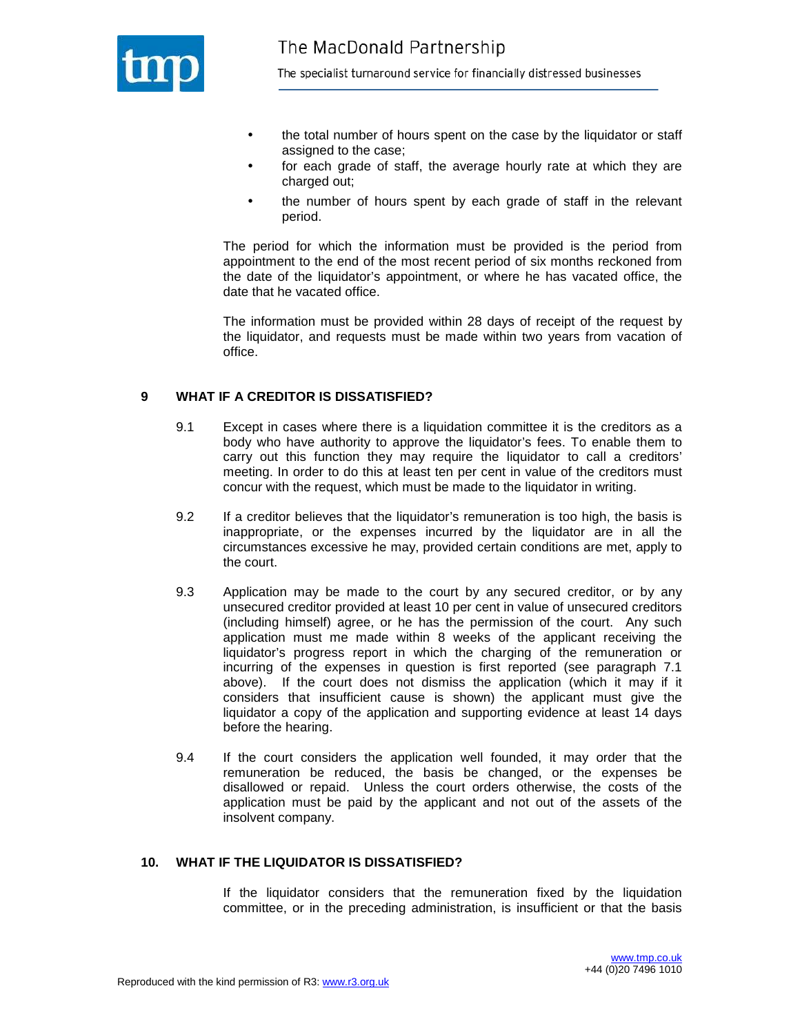

- the total number of hours spent on the case by the liquidator or staff assigned to the case;
- for each grade of staff, the average hourly rate at which they are charged out;
- the number of hours spent by each grade of staff in the relevant period.

The period for which the information must be provided is the period from appointment to the end of the most recent period of six months reckoned from the date of the liquidator's appointment, or where he has vacated office, the date that he vacated office.

The information must be provided within 28 days of receipt of the request by the liquidator, and requests must be made within two years from vacation of office.

#### **9 WHAT IF A CREDITOR IS DISSATISFIED?**

- 9.1 Except in cases where there is a liquidation committee it is the creditors as a body who have authority to approve the liquidator's fees. To enable them to carry out this function they may require the liquidator to call a creditors' meeting. In order to do this at least ten per cent in value of the creditors must concur with the request, which must be made to the liquidator in writing.
- 9.2 If a creditor believes that the liquidator's remuneration is too high, the basis is inappropriate, or the expenses incurred by the liquidator are in all the circumstances excessive he may, provided certain conditions are met, apply to the court.
- 9.3 Application may be made to the court by any secured creditor, or by any unsecured creditor provided at least 10 per cent in value of unsecured creditors (including himself) agree, or he has the permission of the court. Any such application must me made within 8 weeks of the applicant receiving the liquidator's progress report in which the charging of the remuneration or incurring of the expenses in question is first reported (see paragraph 7.1 above). If the court does not dismiss the application (which it may if it considers that insufficient cause is shown) the applicant must give the liquidator a copy of the application and supporting evidence at least 14 days before the hearing.
- 9.4 If the court considers the application well founded, it may order that the remuneration be reduced, the basis be changed, or the expenses be disallowed or repaid. Unless the court orders otherwise, the costs of the application must be paid by the applicant and not out of the assets of the insolvent company.

#### **10. WHAT IF THE LIQUIDATOR IS DISSATISFIED?**

If the liquidator considers that the remuneration fixed by the liquidation committee, or in the preceding administration, is insufficient or that the basis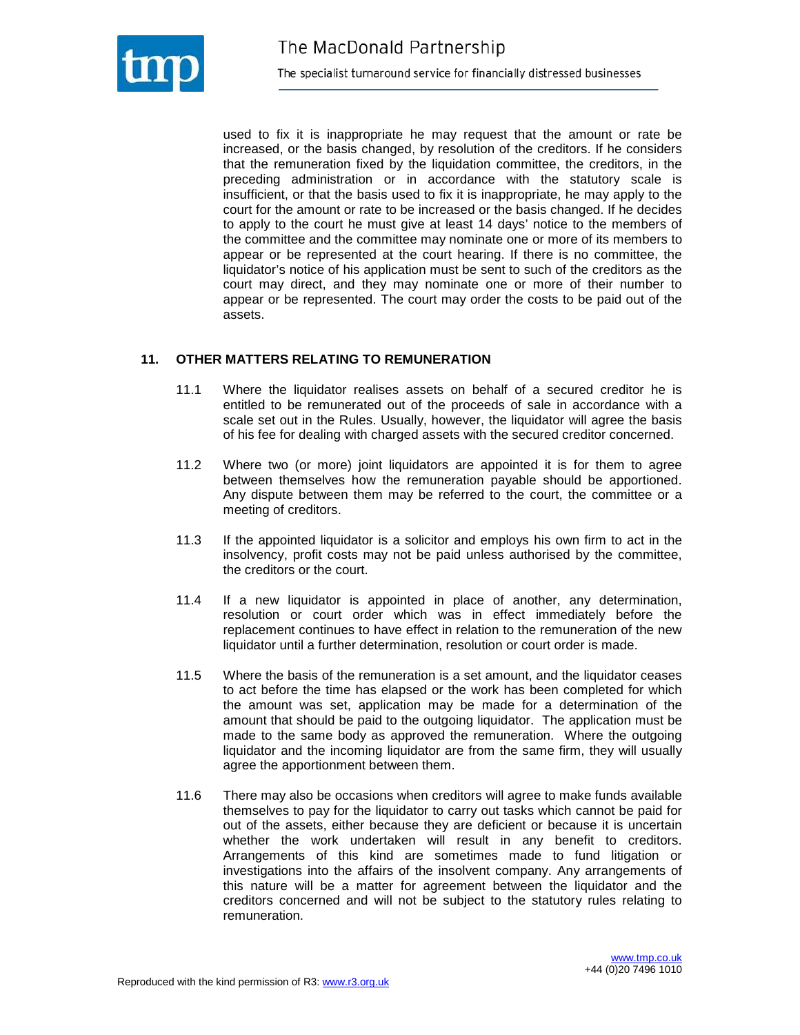

used to fix it is inappropriate he may request that the amount or rate be increased, or the basis changed, by resolution of the creditors. If he considers that the remuneration fixed by the liquidation committee, the creditors, in the preceding administration or in accordance with the statutory scale is insufficient, or that the basis used to fix it is inappropriate, he may apply to the court for the amount or rate to be increased or the basis changed. If he decides to apply to the court he must give at least 14 days' notice to the members of the committee and the committee may nominate one or more of its members to appear or be represented at the court hearing. If there is no committee, the liquidator's notice of his application must be sent to such of the creditors as the court may direct, and they may nominate one or more of their number to appear or be represented. The court may order the costs to be paid out of the assets.

## **11. OTHER MATTERS RELATING TO REMUNERATION**

- 11.1 Where the liquidator realises assets on behalf of a secured creditor he is entitled to be remunerated out of the proceeds of sale in accordance with a scale set out in the Rules. Usually, however, the liquidator will agree the basis of his fee for dealing with charged assets with the secured creditor concerned.
- 11.2 Where two (or more) joint liquidators are appointed it is for them to agree between themselves how the remuneration payable should be apportioned. Any dispute between them may be referred to the court, the committee or a meeting of creditors.
- 11.3 If the appointed liquidator is a solicitor and employs his own firm to act in the insolvency, profit costs may not be paid unless authorised by the committee, the creditors or the court.
- 11.4 If a new liquidator is appointed in place of another, any determination, resolution or court order which was in effect immediately before the replacement continues to have effect in relation to the remuneration of the new liquidator until a further determination, resolution or court order is made.
- 11.5 Where the basis of the remuneration is a set amount, and the liquidator ceases to act before the time has elapsed or the work has been completed for which the amount was set, application may be made for a determination of the amount that should be paid to the outgoing liquidator. The application must be made to the same body as approved the remuneration. Where the outgoing liquidator and the incoming liquidator are from the same firm, they will usually agree the apportionment between them.
- 11.6 There may also be occasions when creditors will agree to make funds available themselves to pay for the liquidator to carry out tasks which cannot be paid for out of the assets, either because they are deficient or because it is uncertain whether the work undertaken will result in any benefit to creditors. Arrangements of this kind are sometimes made to fund litigation or investigations into the affairs of the insolvent company. Any arrangements of this nature will be a matter for agreement between the liquidator and the creditors concerned and will not be subject to the statutory rules relating to remuneration.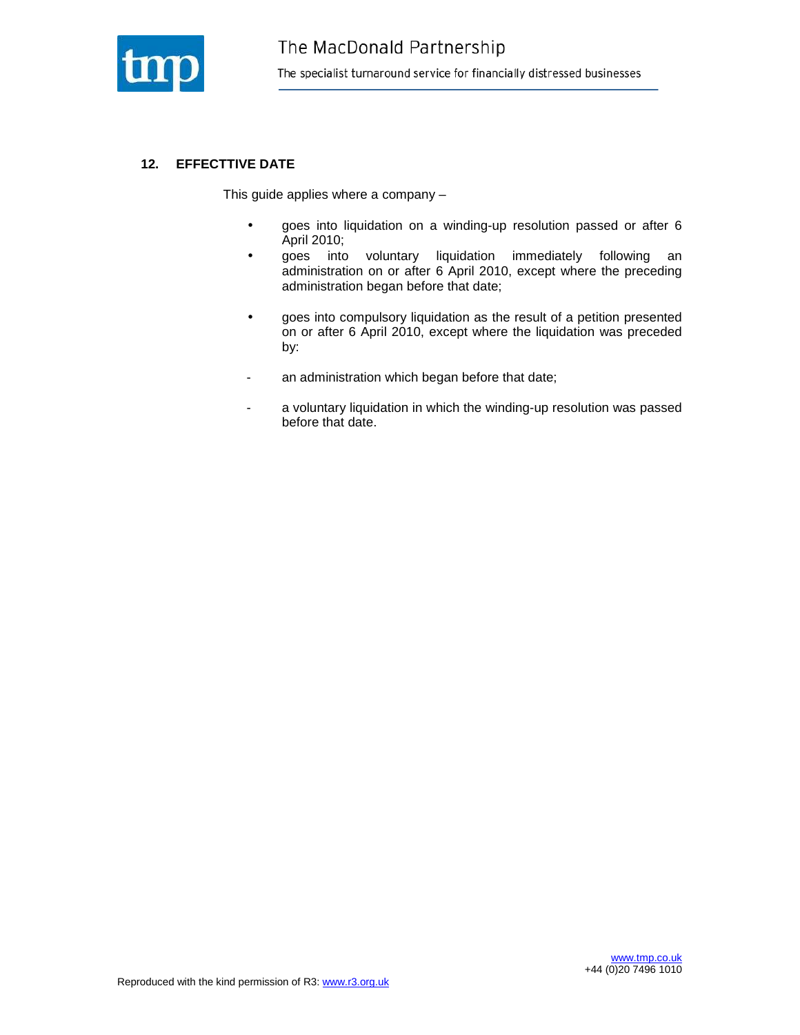

## **12. EFFECTTIVE DATE**

This guide applies where a company –

- goes into liquidation on a winding-up resolution passed or after 6 April 2010;
- goes into voluntary liquidation immediately following an administration on or after 6 April 2010, except where the preceding administration began before that date;
- goes into compulsory liquidation as the result of a petition presented on or after 6 April 2010, except where the liquidation was preceded by:
- an administration which began before that date;
- a voluntary liquidation in which the winding-up resolution was passed before that date.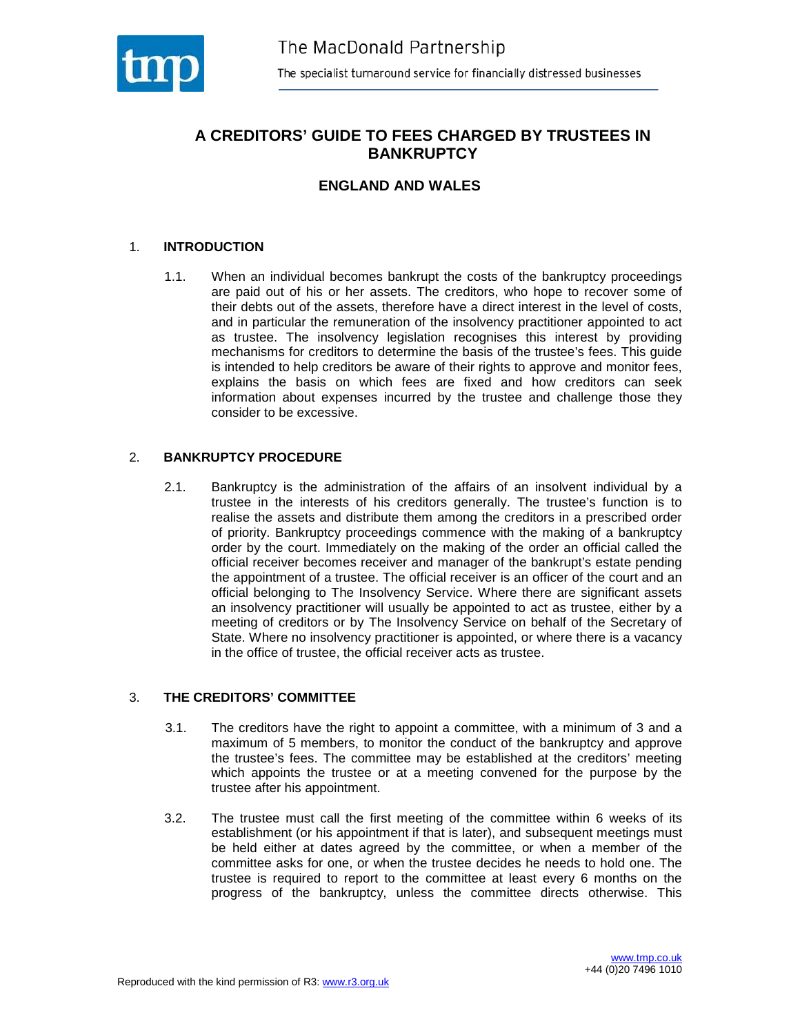

## **A CREDITORS' GUIDE TO FEES CHARGED BY TRUSTEES IN BANKRUPTCY**

## **ENGLAND AND WALES**

#### 1. **INTRODUCTION**

1.1. When an individual becomes bankrupt the costs of the bankruptcy proceedings are paid out of his or her assets. The creditors, who hope to recover some of their debts out of the assets, therefore have a direct interest in the level of costs, and in particular the remuneration of the insolvency practitioner appointed to act as trustee. The insolvency legislation recognises this interest by providing mechanisms for creditors to determine the basis of the trustee's fees. This guide is intended to help creditors be aware of their rights to approve and monitor fees, explains the basis on which fees are fixed and how creditors can seek information about expenses incurred by the trustee and challenge those they consider to be excessive.

#### 2. **BANKRUPTCY PROCEDURE**

2.1. Bankruptcy is the administration of the affairs of an insolvent individual by a trustee in the interests of his creditors generally. The trustee's function is to realise the assets and distribute them among the creditors in a prescribed order of priority. Bankruptcy proceedings commence with the making of a bankruptcy order by the court. Immediately on the making of the order an official called the official receiver becomes receiver and manager of the bankrupt's estate pending the appointment of a trustee. The official receiver is an officer of the court and an official belonging to The Insolvency Service. Where there are significant assets an insolvency practitioner will usually be appointed to act as trustee, either by a meeting of creditors or by The Insolvency Service on behalf of the Secretary of State. Where no insolvency practitioner is appointed, or where there is a vacancy in the office of trustee, the official receiver acts as trustee.

#### 3. **THE CREDITORS' COMMITTEE**

- 3.1. The creditors have the right to appoint a committee, with a minimum of 3 and a maximum of 5 members, to monitor the conduct of the bankruptcy and approve the trustee's fees. The committee may be established at the creditors' meeting which appoints the trustee or at a meeting convened for the purpose by the trustee after his appointment.
- 3.2. The trustee must call the first meeting of the committee within 6 weeks of its establishment (or his appointment if that is later), and subsequent meetings must be held either at dates agreed by the committee, or when a member of the committee asks for one, or when the trustee decides he needs to hold one. The trustee is required to report to the committee at least every 6 months on the progress of the bankruptcy, unless the committee directs otherwise. This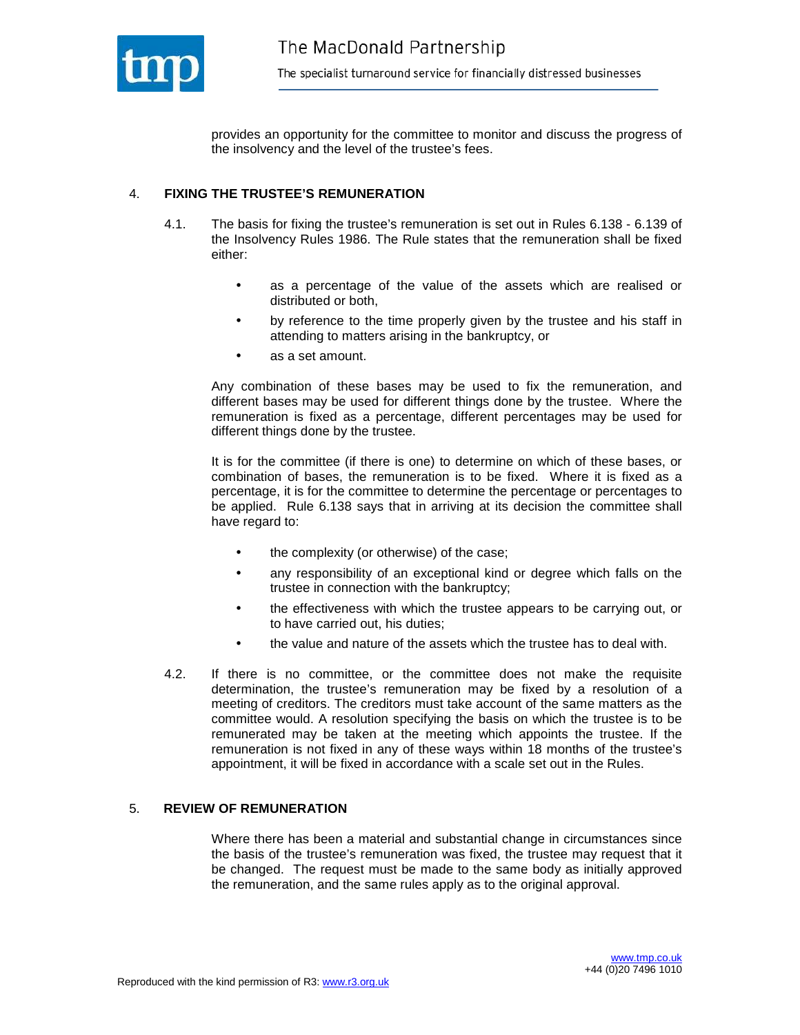

provides an opportunity for the committee to monitor and discuss the progress of the insolvency and the level of the trustee's fees.

## 4. **FIXING THE TRUSTEE'S REMUNERATION**

- 4.1. The basis for fixing the trustee's remuneration is set out in Rules 6.138 6.139 of the Insolvency Rules 1986. The Rule states that the remuneration shall be fixed either:
	- as a percentage of the value of the assets which are realised or distributed or both,
	- by reference to the time properly given by the trustee and his staff in attending to matters arising in the bankruptcy, or
	- as a set amount.

 Any combination of these bases may be used to fix the remuneration, and different bases may be used for different things done by the trustee. Where the remuneration is fixed as a percentage, different percentages may be used for different things done by the trustee.

 It is for the committee (if there is one) to determine on which of these bases, or combination of bases, the remuneration is to be fixed. Where it is fixed as a percentage, it is for the committee to determine the percentage or percentages to be applied. Rule 6.138 says that in arriving at its decision the committee shall have regard to:

- the complexity (or otherwise) of the case;
- any responsibility of an exceptional kind or degree which falls on the trustee in connection with the bankruptcy;
- the effectiveness with which the trustee appears to be carrying out, or to have carried out, his duties;
- the value and nature of the assets which the trustee has to deal with.
- 4.2. If there is no committee, or the committee does not make the requisite determination, the trustee's remuneration may be fixed by a resolution of a meeting of creditors. The creditors must take account of the same matters as the committee would. A resolution specifying the basis on which the trustee is to be remunerated may be taken at the meeting which appoints the trustee. If the remuneration is not fixed in any of these ways within 18 months of the trustee's appointment, it will be fixed in accordance with a scale set out in the Rules.

#### 5. **REVIEW OF REMUNERATION**

Where there has been a material and substantial change in circumstances since the basis of the trustee's remuneration was fixed, the trustee may request that it be changed. The request must be made to the same body as initially approved the remuneration, and the same rules apply as to the original approval.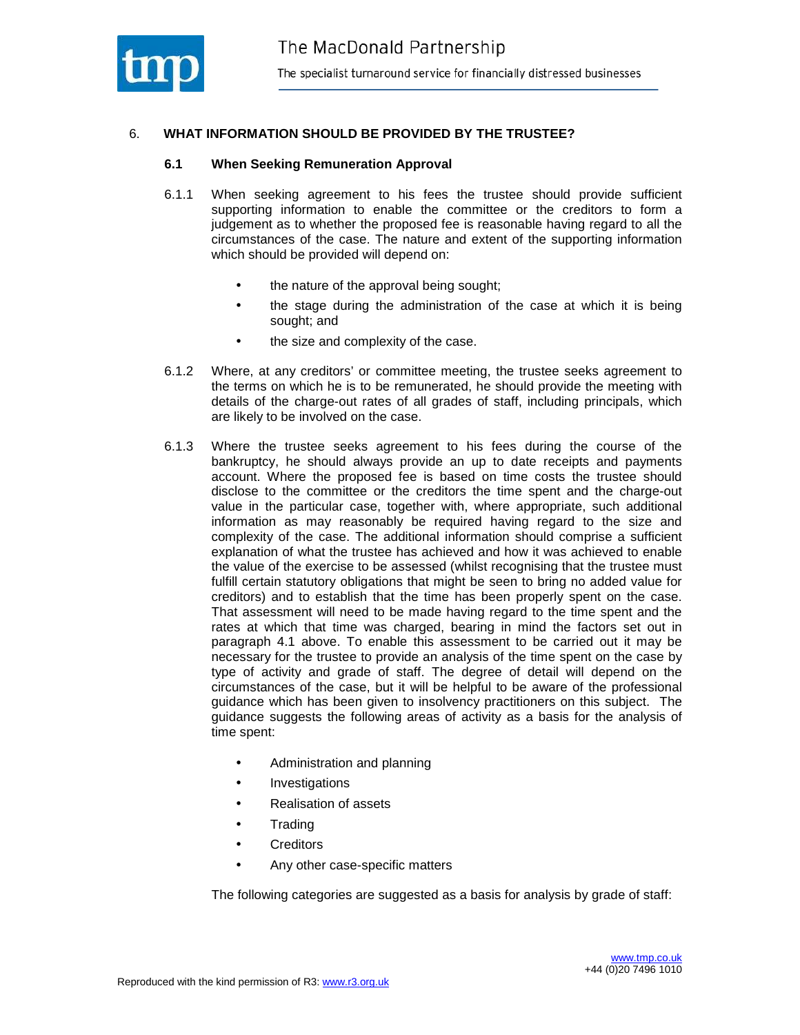

## 6. **WHAT INFORMATION SHOULD BE PROVIDED BY THE TRUSTEE?**

#### **6.1 When Seeking Remuneration Approval**

- 6.1.1 When seeking agreement to his fees the trustee should provide sufficient supporting information to enable the committee or the creditors to form a judgement as to whether the proposed fee is reasonable having regard to all the circumstances of the case. The nature and extent of the supporting information which should be provided will depend on:
	- the nature of the approval being sought;
	- the stage during the administration of the case at which it is being sought; and
	- the size and complexity of the case.
- 6.1.2 Where, at any creditors' or committee meeting, the trustee seeks agreement to the terms on which he is to be remunerated, he should provide the meeting with details of the charge-out rates of all grades of staff, including principals, which are likely to be involved on the case.
- 6.1.3 Where the trustee seeks agreement to his fees during the course of the bankruptcy, he should always provide an up to date receipts and payments account. Where the proposed fee is based on time costs the trustee should disclose to the committee or the creditors the time spent and the charge-out value in the particular case, together with, where appropriate, such additional information as may reasonably be required having regard to the size and complexity of the case. The additional information should comprise a sufficient explanation of what the trustee has achieved and how it was achieved to enable the value of the exercise to be assessed (whilst recognising that the trustee must fulfill certain statutory obligations that might be seen to bring no added value for creditors) and to establish that the time has been properly spent on the case. That assessment will need to be made having regard to the time spent and the rates at which that time was charged, bearing in mind the factors set out in paragraph 4.1 above. To enable this assessment to be carried out it may be necessary for the trustee to provide an analysis of the time spent on the case by type of activity and grade of staff. The degree of detail will depend on the circumstances of the case, but it will be helpful to be aware of the professional guidance which has been given to insolvency practitioners on this subject. The guidance suggests the following areas of activity as a basis for the analysis of time spent:
	- Administration and planning
	- Investigations
	- Realisation of assets
	- Trading
	- **Creditors**
	- Any other case-specific matters

The following categories are suggested as a basis for analysis by grade of staff: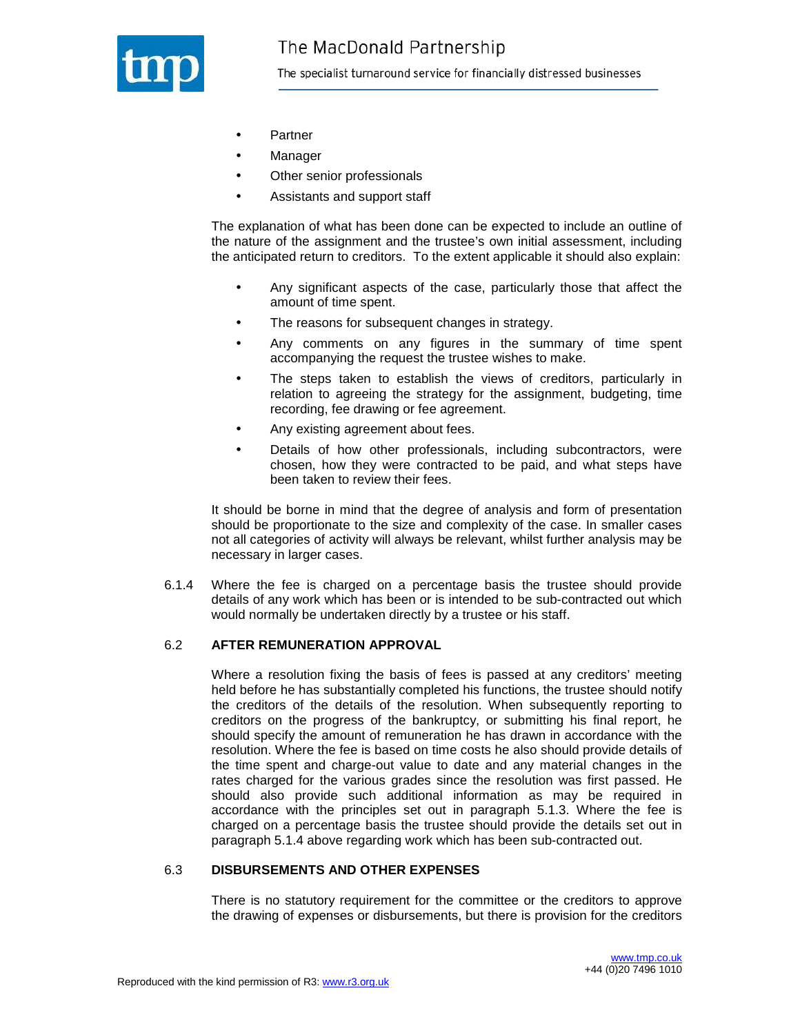

The specialist turnaround service for financially distressed businesses

- **Partner**
- **Manager**
- Other senior professionals
- Assistants and support staff

The explanation of what has been done can be expected to include an outline of the nature of the assignment and the trustee's own initial assessment, including the anticipated return to creditors. To the extent applicable it should also explain:

- Any significant aspects of the case, particularly those that affect the amount of time spent.
- The reasons for subsequent changes in strategy.
- Any comments on any figures in the summary of time spent accompanying the request the trustee wishes to make.
- The steps taken to establish the views of creditors, particularly in relation to agreeing the strategy for the assignment, budgeting, time recording, fee drawing or fee agreement.
- Any existing agreement about fees.
- Details of how other professionals, including subcontractors, were chosen, how they were contracted to be paid, and what steps have been taken to review their fees.

It should be borne in mind that the degree of analysis and form of presentation should be proportionate to the size and complexity of the case. In smaller cases not all categories of activity will always be relevant, whilst further analysis may be necessary in larger cases.

6.1.4 Where the fee is charged on a percentage basis the trustee should provide details of any work which has been or is intended to be sub-contracted out which would normally be undertaken directly by a trustee or his staff.

#### 6.2 **AFTER REMUNERATION APPROVAL**

Where a resolution fixing the basis of fees is passed at any creditors' meeting held before he has substantially completed his functions, the trustee should notify the creditors of the details of the resolution. When subsequently reporting to creditors on the progress of the bankruptcy, or submitting his final report, he should specify the amount of remuneration he has drawn in accordance with the resolution. Where the fee is based on time costs he also should provide details of the time spent and charge-out value to date and any material changes in the rates charged for the various grades since the resolution was first passed. He should also provide such additional information as may be required in accordance with the principles set out in paragraph 5.1.3. Where the fee is charged on a percentage basis the trustee should provide the details set out in paragraph 5.1.4 above regarding work which has been sub-contracted out.

#### 6.3 **DISBURSEMENTS AND OTHER EXPENSES**

There is no statutory requirement for the committee or the creditors to approve the drawing of expenses or disbursements, but there is provision for the creditors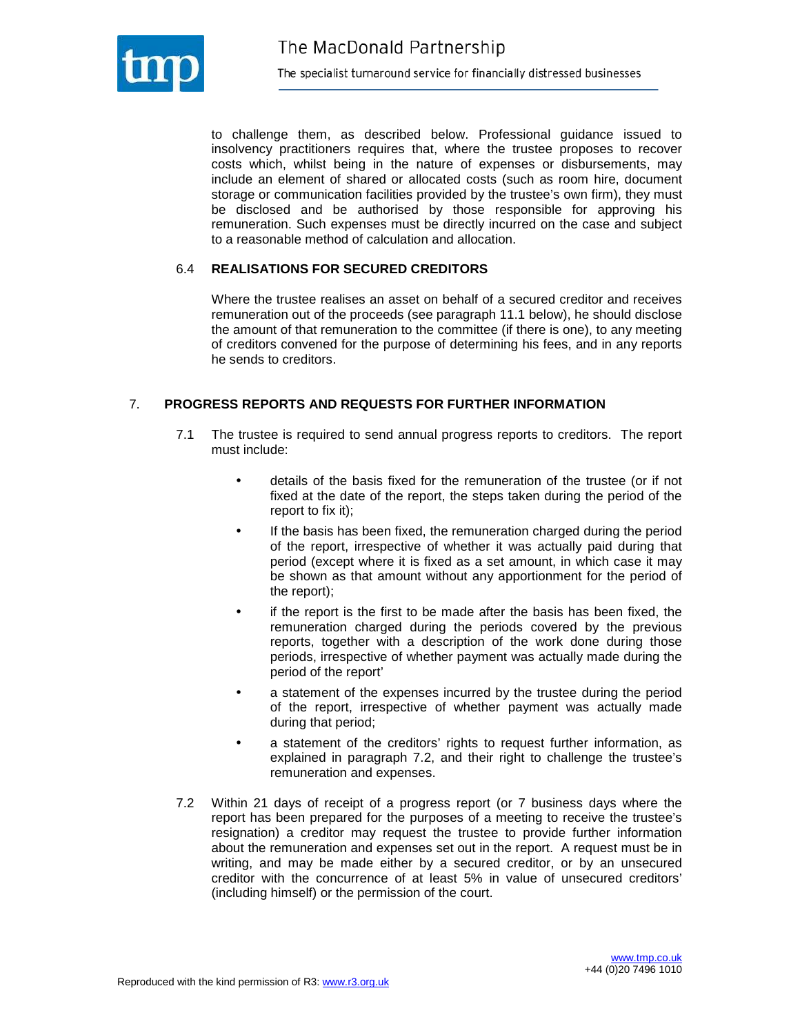

to challenge them, as described below. Professional guidance issued to insolvency practitioners requires that, where the trustee proposes to recover costs which, whilst being in the nature of expenses or disbursements, may include an element of shared or allocated costs (such as room hire, document storage or communication facilities provided by the trustee's own firm), they must be disclosed and be authorised by those responsible for approving his remuneration. Such expenses must be directly incurred on the case and subject to a reasonable method of calculation and allocation.

#### 6.4 **REALISATIONS FOR SECURED CREDITORS**

Where the trustee realises an asset on behalf of a secured creditor and receives remuneration out of the proceeds (see paragraph 11.1 below), he should disclose the amount of that remuneration to the committee (if there is one), to any meeting of creditors convened for the purpose of determining his fees, and in any reports he sends to creditors.

## 7. **PROGRESS REPORTS AND REQUESTS FOR FURTHER INFORMATION**

- 7.1 The trustee is required to send annual progress reports to creditors. The report must include:
	- details of the basis fixed for the remuneration of the trustee (or if not fixed at the date of the report, the steps taken during the period of the report to fix it);
	- If the basis has been fixed, the remuneration charged during the period of the report, irrespective of whether it was actually paid during that period (except where it is fixed as a set amount, in which case it may be shown as that amount without any apportionment for the period of the report);
	- if the report is the first to be made after the basis has been fixed, the remuneration charged during the periods covered by the previous reports, together with a description of the work done during those periods, irrespective of whether payment was actually made during the period of the report'
	- a statement of the expenses incurred by the trustee during the period of the report, irrespective of whether payment was actually made during that period;
	- a statement of the creditors' rights to request further information, as explained in paragraph 7.2, and their right to challenge the trustee's remuneration and expenses.
- 7.2 Within 21 days of receipt of a progress report (or 7 business days where the report has been prepared for the purposes of a meeting to receive the trustee's resignation) a creditor may request the trustee to provide further information about the remuneration and expenses set out in the report. A request must be in writing, and may be made either by a secured creditor, or by an unsecured creditor with the concurrence of at least 5% in value of unsecured creditors' (including himself) or the permission of the court.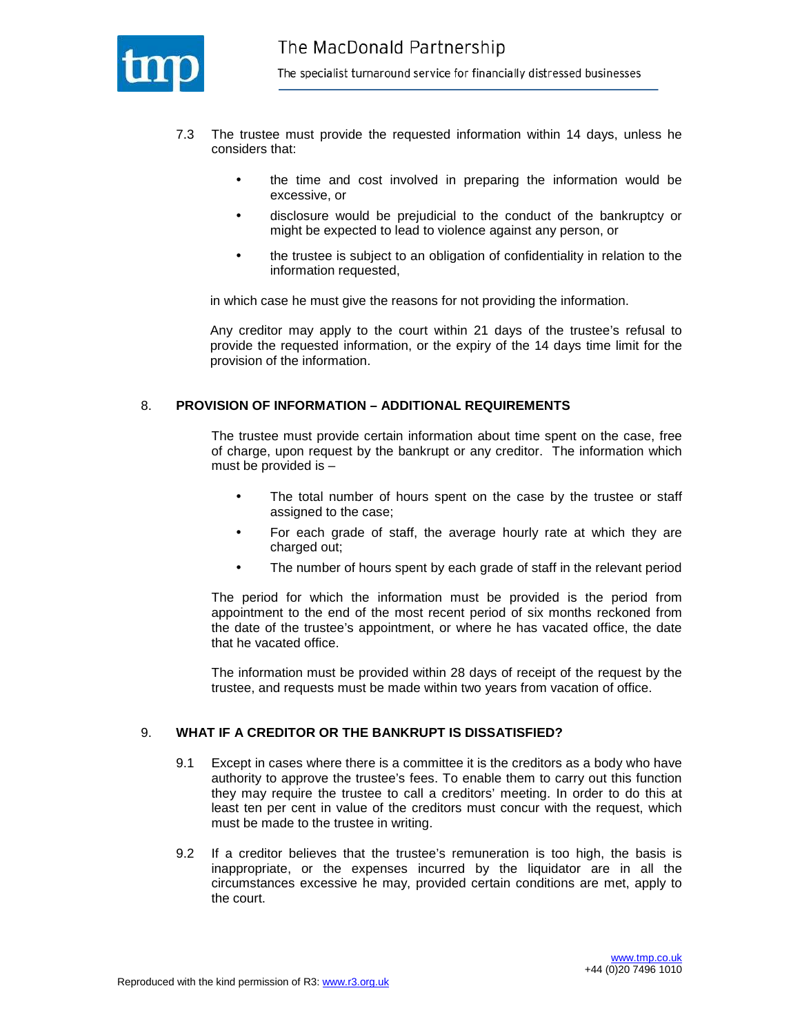

- 7.3 The trustee must provide the requested information within 14 days, unless he considers that:
	- the time and cost involved in preparing the information would be excessive, or
	- disclosure would be prejudicial to the conduct of the bankruptcy or might be expected to lead to violence against any person, or
	- the trustee is subject to an obligation of confidentiality in relation to the information requested,

in which case he must give the reasons for not providing the information.

Any creditor may apply to the court within 21 days of the trustee's refusal to provide the requested information, or the expiry of the 14 days time limit for the provision of the information.

#### 8. **PROVISION OF INFORMATION – ADDITIONAL REQUIREMENTS**

The trustee must provide certain information about time spent on the case, free of charge, upon request by the bankrupt or any creditor. The information which must be provided is –

- The total number of hours spent on the case by the trustee or staff assigned to the case;
- For each grade of staff, the average hourly rate at which they are charged out;
- The number of hours spent by each grade of staff in the relevant period

The period for which the information must be provided is the period from appointment to the end of the most recent period of six months reckoned from the date of the trustee's appointment, or where he has vacated office, the date that he vacated office.

The information must be provided within 28 days of receipt of the request by the trustee, and requests must be made within two years from vacation of office.

#### 9. **WHAT IF A CREDITOR OR THE BANKRUPT IS DISSATISFIED?**

- 9.1 Except in cases where there is a committee it is the creditors as a body who have authority to approve the trustee's fees. To enable them to carry out this function they may require the trustee to call a creditors' meeting. In order to do this at least ten per cent in value of the creditors must concur with the request, which must be made to the trustee in writing.
- 9.2 If a creditor believes that the trustee's remuneration is too high, the basis is inappropriate, or the expenses incurred by the liquidator are in all the circumstances excessive he may, provided certain conditions are met, apply to the court.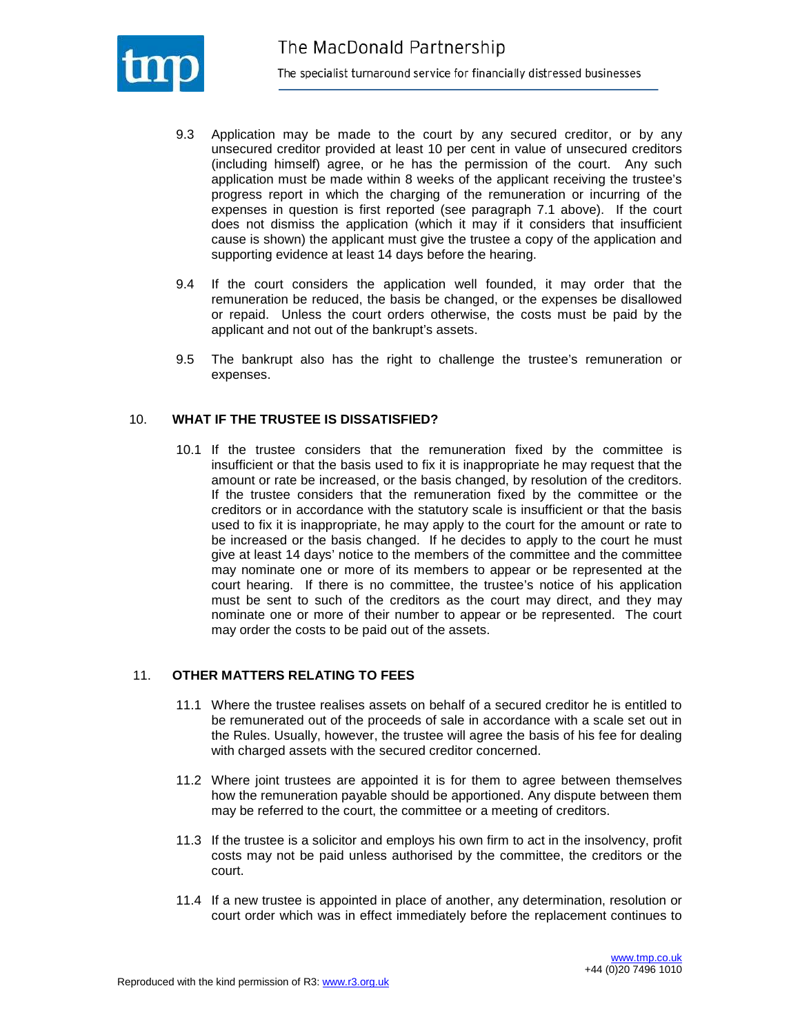

- 9.3 Application may be made to the court by any secured creditor, or by any unsecured creditor provided at least 10 per cent in value of unsecured creditors (including himself) agree, or he has the permission of the court. Any such application must be made within 8 weeks of the applicant receiving the trustee's progress report in which the charging of the remuneration or incurring of the expenses in question is first reported (see paragraph 7.1 above). If the court does not dismiss the application (which it may if it considers that insufficient cause is shown) the applicant must give the trustee a copy of the application and supporting evidence at least 14 days before the hearing.
- 9.4 If the court considers the application well founded, it may order that the remuneration be reduced, the basis be changed, or the expenses be disallowed or repaid. Unless the court orders otherwise, the costs must be paid by the applicant and not out of the bankrupt's assets.
- 9.5 The bankrupt also has the right to challenge the trustee's remuneration or expenses.

#### 10. **WHAT IF THE TRUSTEE IS DISSATISFIED?**

10.1 If the trustee considers that the remuneration fixed by the committee is insufficient or that the basis used to fix it is inappropriate he may request that the amount or rate be increased, or the basis changed, by resolution of the creditors. If the trustee considers that the remuneration fixed by the committee or the creditors or in accordance with the statutory scale is insufficient or that the basis used to fix it is inappropriate, he may apply to the court for the amount or rate to be increased or the basis changed. If he decides to apply to the court he must give at least 14 days' notice to the members of the committee and the committee may nominate one or more of its members to appear or be represented at the court hearing. If there is no committee, the trustee's notice of his application must be sent to such of the creditors as the court may direct, and they may nominate one or more of their number to appear or be represented. The court may order the costs to be paid out of the assets.

#### 11. **OTHER MATTERS RELATING TO FEES**

- 11.1 Where the trustee realises assets on behalf of a secured creditor he is entitled to be remunerated out of the proceeds of sale in accordance with a scale set out in the Rules. Usually, however, the trustee will agree the basis of his fee for dealing with charged assets with the secured creditor concerned.
- 11.2 Where joint trustees are appointed it is for them to agree between themselves how the remuneration payable should be apportioned. Any dispute between them may be referred to the court, the committee or a meeting of creditors.
- 11.3 If the trustee is a solicitor and employs his own firm to act in the insolvency, profit costs may not be paid unless authorised by the committee, the creditors or the court.
- 11.4 If a new trustee is appointed in place of another, any determination, resolution or court order which was in effect immediately before the replacement continues to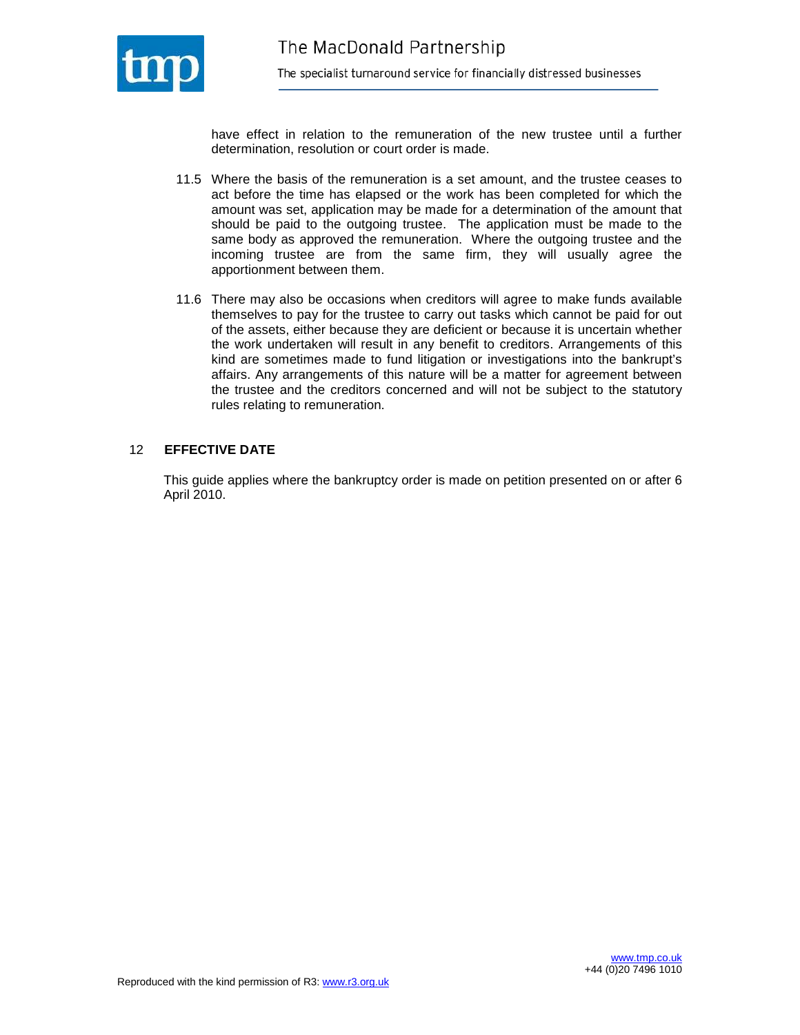

have effect in relation to the remuneration of the new trustee until a further determination, resolution or court order is made.

- 11.5 Where the basis of the remuneration is a set amount, and the trustee ceases to act before the time has elapsed or the work has been completed for which the amount was set, application may be made for a determination of the amount that should be paid to the outgoing trustee. The application must be made to the same body as approved the remuneration. Where the outgoing trustee and the incoming trustee are from the same firm, they will usually agree the apportionment between them.
- 11.6 There may also be occasions when creditors will agree to make funds available themselves to pay for the trustee to carry out tasks which cannot be paid for out of the assets, either because they are deficient or because it is uncertain whether the work undertaken will result in any benefit to creditors. Arrangements of this kind are sometimes made to fund litigation or investigations into the bankrupt's affairs. Any arrangements of this nature will be a matter for agreement between the trustee and the creditors concerned and will not be subject to the statutory rules relating to remuneration.

#### 12 **EFFECTIVE DATE**

This guide applies where the bankruptcy order is made on petition presented on or after 6 April 2010.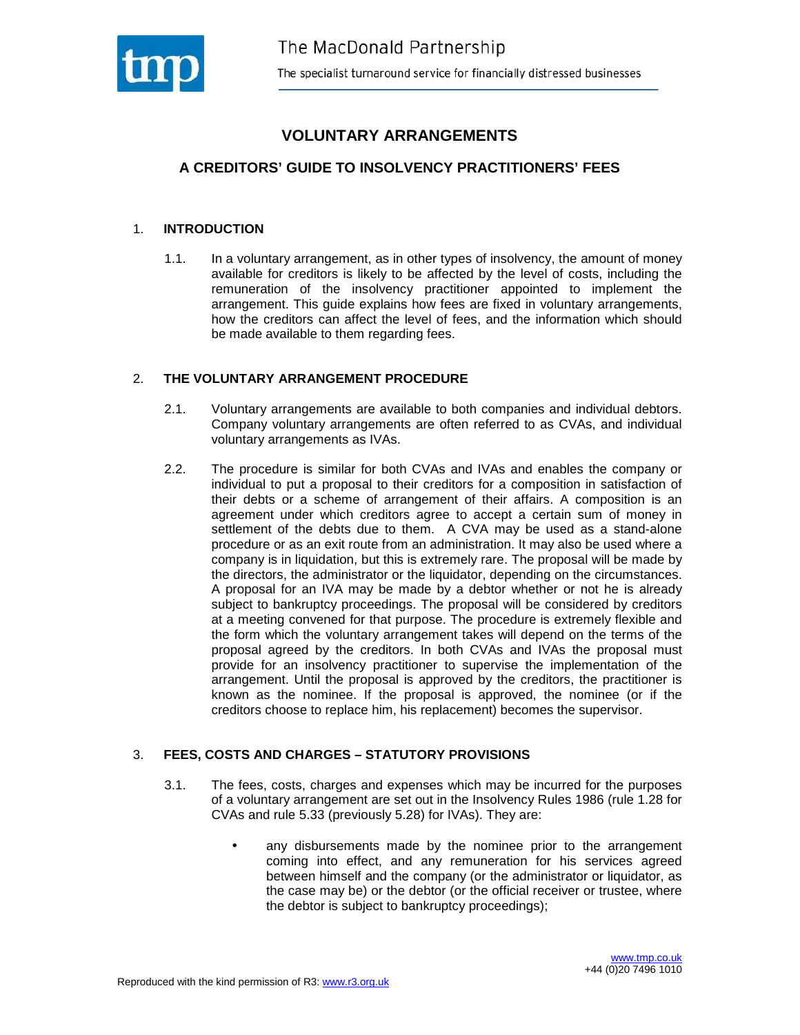

# **VOLUNTARY ARRANGEMENTS**

## **A CREDITORS' GUIDE TO INSOLVENCY PRACTITIONERS' FEES**

#### 1. **INTRODUCTION**

1.1. In a voluntary arrangement, as in other types of insolvency, the amount of money available for creditors is likely to be affected by the level of costs, including the remuneration of the insolvency practitioner appointed to implement the arrangement. This guide explains how fees are fixed in voluntary arrangements, how the creditors can affect the level of fees, and the information which should be made available to them regarding fees.

#### 2. **THE VOLUNTARY ARRANGEMENT PROCEDURE**

- 2.1. Voluntary arrangements are available to both companies and individual debtors. Company voluntary arrangements are often referred to as CVAs, and individual voluntary arrangements as IVAs.
- 2.2. The procedure is similar for both CVAs and IVAs and enables the company or individual to put a proposal to their creditors for a composition in satisfaction of their debts or a scheme of arrangement of their affairs. A composition is an agreement under which creditors agree to accept a certain sum of money in settlement of the debts due to them. A CVA may be used as a stand-alone procedure or as an exit route from an administration. It may also be used where a company is in liquidation, but this is extremely rare. The proposal will be made by the directors, the administrator or the liquidator, depending on the circumstances. A proposal for an IVA may be made by a debtor whether or not he is already subject to bankruptcy proceedings. The proposal will be considered by creditors at a meeting convened for that purpose. The procedure is extremely flexible and the form which the voluntary arrangement takes will depend on the terms of the proposal agreed by the creditors. In both CVAs and IVAs the proposal must provide for an insolvency practitioner to supervise the implementation of the arrangement. Until the proposal is approved by the creditors, the practitioner is known as the nominee. If the proposal is approved, the nominee (or if the creditors choose to replace him, his replacement) becomes the supervisor.

#### 3. **FEES, COSTS AND CHARGES – STATUTORY PROVISIONS**

- 3.1. The fees, costs, charges and expenses which may be incurred for the purposes of a voluntary arrangement are set out in the Insolvency Rules 1986 (rule 1.28 for CVAs and rule 5.33 (previously 5.28) for IVAs). They are:
	- any disbursements made by the nominee prior to the arrangement coming into effect, and any remuneration for his services agreed between himself and the company (or the administrator or liquidator, as the case may be) or the debtor (or the official receiver or trustee, where the debtor is subject to bankruptcy proceedings);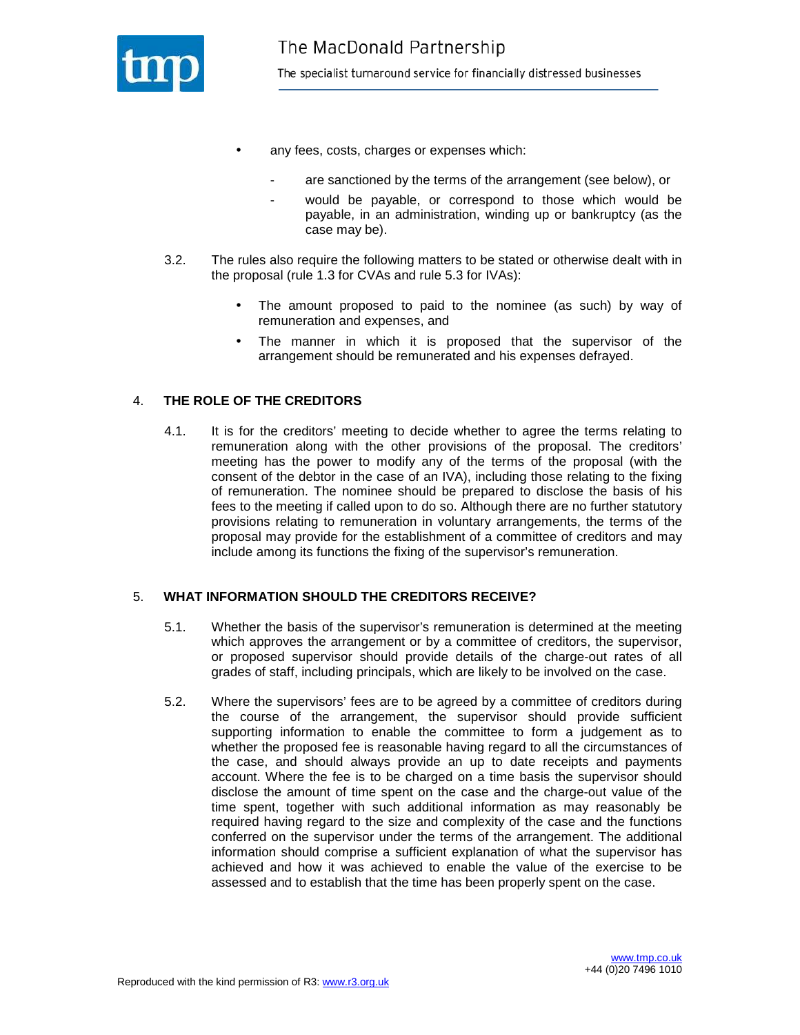

- any fees, costs, charges or expenses which:
	- are sanctioned by the terms of the arrangement (see below), or
	- would be payable, or correspond to those which would be payable, in an administration, winding up or bankruptcy (as the case may be).
- 3.2. The rules also require the following matters to be stated or otherwise dealt with in the proposal (rule 1.3 for CVAs and rule 5.3 for IVAs):
	- The amount proposed to paid to the nominee (as such) by way of remuneration and expenses, and
	- The manner in which it is proposed that the supervisor of the arrangement should be remunerated and his expenses defrayed.

## 4. **THE ROLE OF THE CREDITORS**

4.1. It is for the creditors' meeting to decide whether to agree the terms relating to remuneration along with the other provisions of the proposal. The creditors' meeting has the power to modify any of the terms of the proposal (with the consent of the debtor in the case of an IVA), including those relating to the fixing of remuneration. The nominee should be prepared to disclose the basis of his fees to the meeting if called upon to do so. Although there are no further statutory provisions relating to remuneration in voluntary arrangements, the terms of the proposal may provide for the establishment of a committee of creditors and may include among its functions the fixing of the supervisor's remuneration.

#### 5. **WHAT INFORMATION SHOULD THE CREDITORS RECEIVE?**

- 5.1. Whether the basis of the supervisor's remuneration is determined at the meeting which approves the arrangement or by a committee of creditors, the supervisor, or proposed supervisor should provide details of the charge-out rates of all grades of staff, including principals, which are likely to be involved on the case.
- 5.2. Where the supervisors' fees are to be agreed by a committee of creditors during the course of the arrangement, the supervisor should provide sufficient supporting information to enable the committee to form a judgement as to whether the proposed fee is reasonable having regard to all the circumstances of the case, and should always provide an up to date receipts and payments account. Where the fee is to be charged on a time basis the supervisor should disclose the amount of time spent on the case and the charge-out value of the time spent, together with such additional information as may reasonably be required having regard to the size and complexity of the case and the functions conferred on the supervisor under the terms of the arrangement. The additional information should comprise a sufficient explanation of what the supervisor has achieved and how it was achieved to enable the value of the exercise to be assessed and to establish that the time has been properly spent on the case.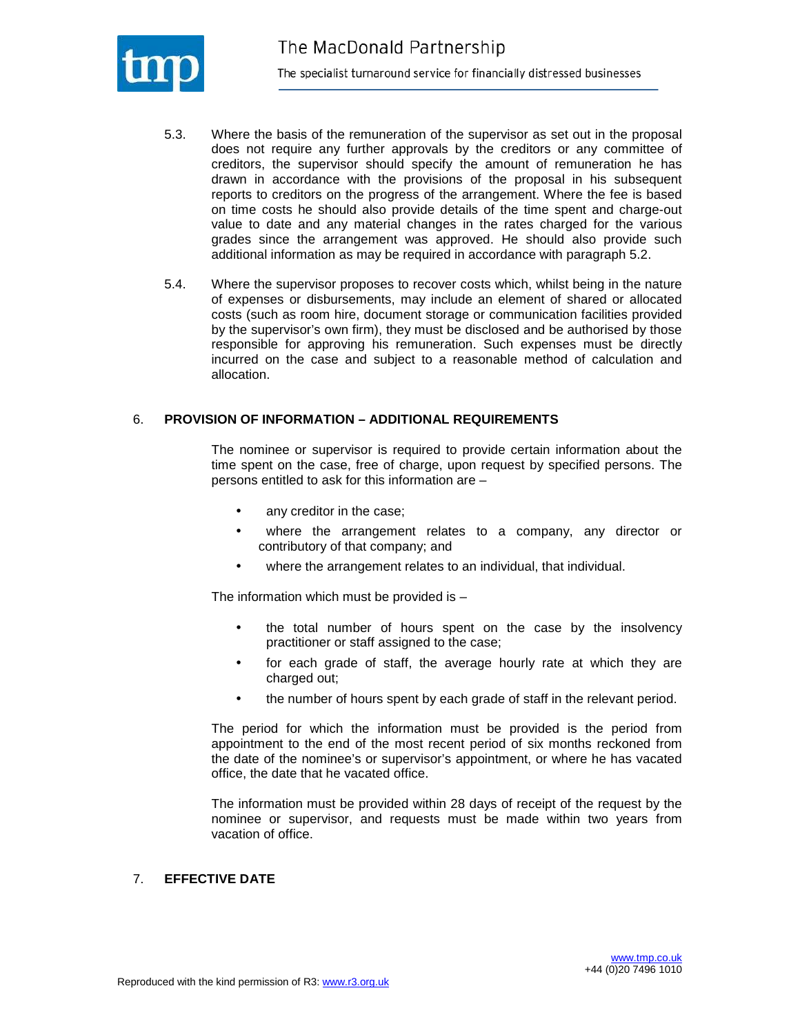

- 5.3. Where the basis of the remuneration of the supervisor as set out in the proposal does not require any further approvals by the creditors or any committee of creditors, the supervisor should specify the amount of remuneration he has drawn in accordance with the provisions of the proposal in his subsequent reports to creditors on the progress of the arrangement. Where the fee is based on time costs he should also provide details of the time spent and charge-out value to date and any material changes in the rates charged for the various grades since the arrangement was approved. He should also provide such additional information as may be required in accordance with paragraph 5.2.
- 5.4. Where the supervisor proposes to recover costs which, whilst being in the nature of expenses or disbursements, may include an element of shared or allocated costs (such as room hire, document storage or communication facilities provided by the supervisor's own firm), they must be disclosed and be authorised by those responsible for approving his remuneration. Such expenses must be directly incurred on the case and subject to a reasonable method of calculation and allocation.

#### 6. **PROVISION OF INFORMATION – ADDITIONAL REQUIREMENTS**

The nominee or supervisor is required to provide certain information about the time spent on the case, free of charge, upon request by specified persons. The persons entitled to ask for this information are –

- any creditor in the case;
- where the arrangement relates to a company, any director or contributory of that company; and
- where the arrangement relates to an individual, that individual.

The information which must be provided is –

- the total number of hours spent on the case by the insolvency practitioner or staff assigned to the case;
- for each grade of staff, the average hourly rate at which they are charged out;
- the number of hours spent by each grade of staff in the relevant period.

The period for which the information must be provided is the period from appointment to the end of the most recent period of six months reckoned from the date of the nominee's or supervisor's appointment, or where he has vacated office, the date that he vacated office.

The information must be provided within 28 days of receipt of the request by the nominee or supervisor, and requests must be made within two years from vacation of office.

#### 7. **EFFECTIVE DATE**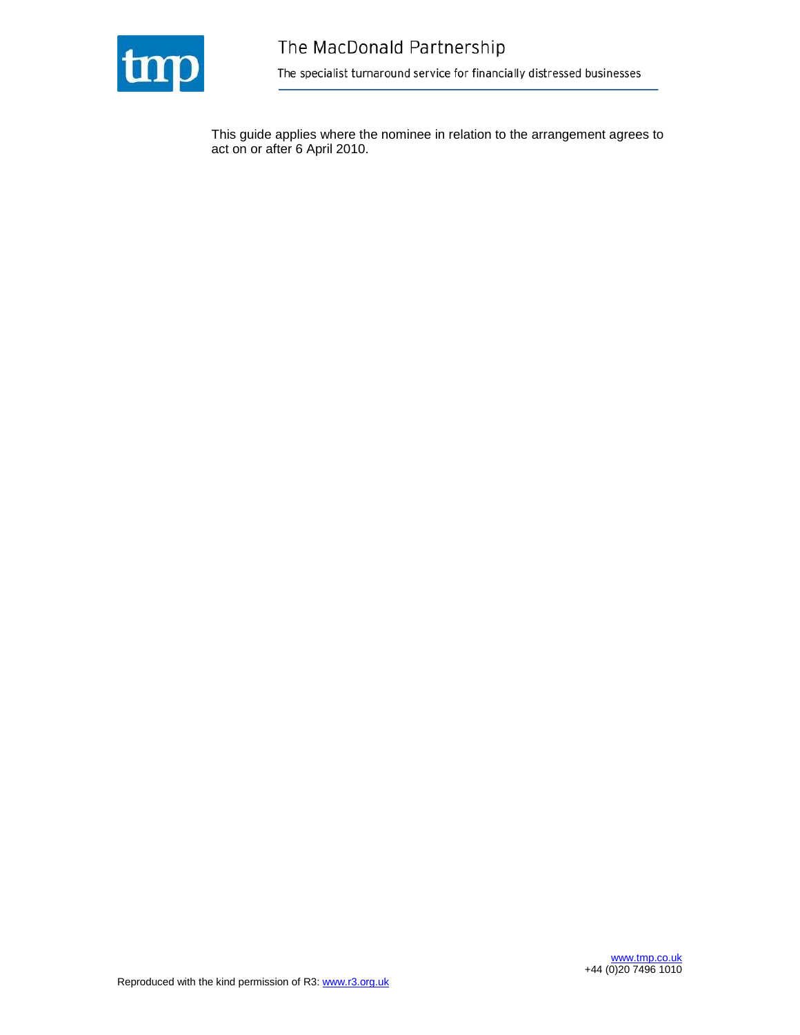

This guide applies where the nominee in relation to the arrangement agrees to act on or after 6 April 2010.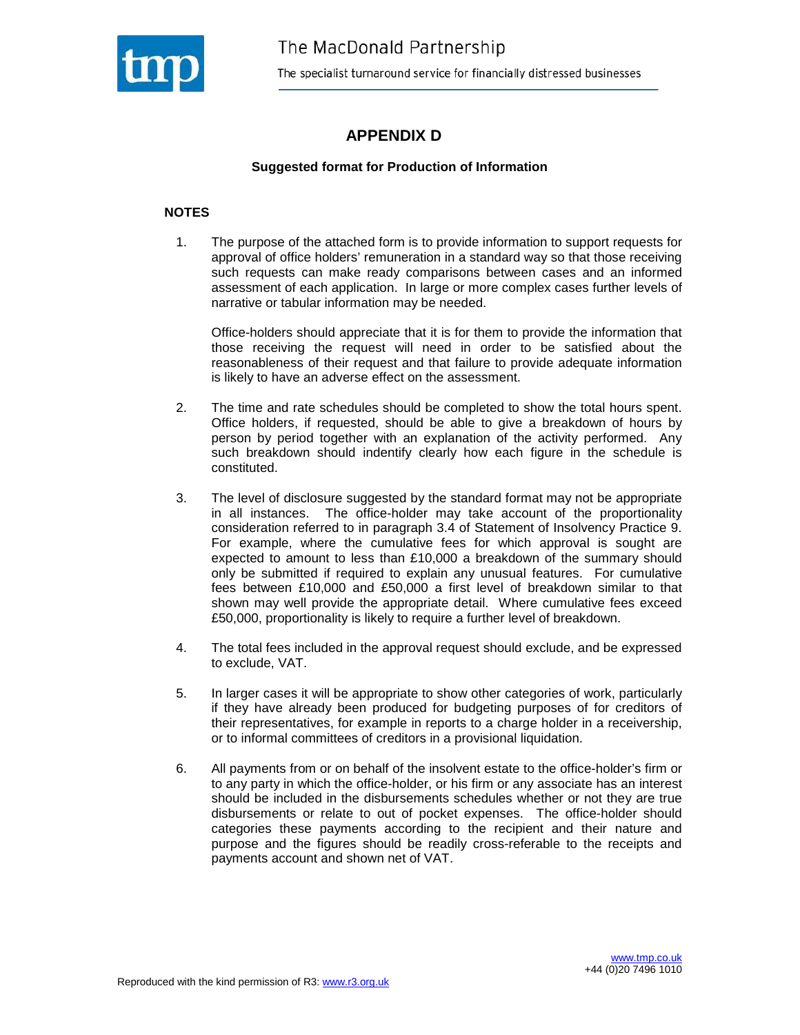

## **APPENDIX D**

#### **Suggested format for Production of Information**

#### **NOTES**

1. The purpose of the attached form is to provide information to support requests for approval of office holders' remuneration in a standard way so that those receiving such requests can make ready comparisons between cases and an informed assessment of each application. In large or more complex cases further levels of narrative or tabular information may be needed.

Office-holders should appreciate that it is for them to provide the information that those receiving the request will need in order to be satisfied about the reasonableness of their request and that failure to provide adequate information is likely to have an adverse effect on the assessment.

- 2. The time and rate schedules should be completed to show the total hours spent. Office holders, if requested, should be able to give a breakdown of hours by person by period together with an explanation of the activity performed. Any such breakdown should indentify clearly how each figure in the schedule is constituted.
- 3. The level of disclosure suggested by the standard format may not be appropriate in all instances. The office-holder may take account of the proportionality consideration referred to in paragraph 3.4 of Statement of Insolvency Practice 9. For example, where the cumulative fees for which approval is sought are expected to amount to less than £10,000 a breakdown of the summary should only be submitted if required to explain any unusual features. For cumulative fees between £10,000 and £50,000 a first level of breakdown similar to that shown may well provide the appropriate detail. Where cumulative fees exceed £50,000, proportionality is likely to require a further level of breakdown.
- 4. The total fees included in the approval request should exclude, and be expressed to exclude, VAT.
- 5. In larger cases it will be appropriate to show other categories of work, particularly if they have already been produced for budgeting purposes of for creditors of their representatives, for example in reports to a charge holder in a receivership, or to informal committees of creditors in a provisional liquidation.
- 6. All payments from or on behalf of the insolvent estate to the office-holder's firm or to any party in which the office-holder, or his firm or any associate has an interest should be included in the disbursements schedules whether or not they are true disbursements or relate to out of pocket expenses. The office-holder should categories these payments according to the recipient and their nature and purpose and the figures should be readily cross-referable to the receipts and payments account and shown net of VAT.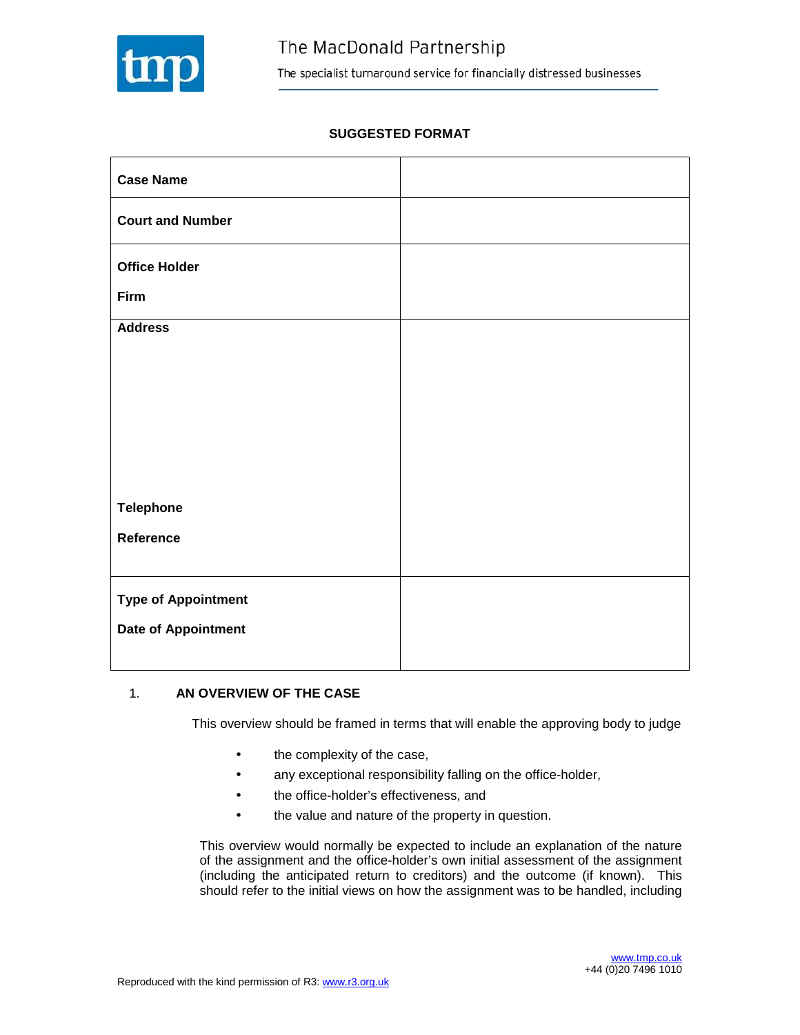

## **SUGGESTED FORMAT**

| <b>Case Name</b>           |  |
|----------------------------|--|
| <b>Court and Number</b>    |  |
| <b>Office Holder</b>       |  |
| Firm                       |  |
| <b>Address</b>             |  |
|                            |  |
|                            |  |
|                            |  |
|                            |  |
| <b>Telephone</b>           |  |
| Reference                  |  |
|                            |  |
| <b>Type of Appointment</b> |  |
| <b>Date of Appointment</b> |  |
|                            |  |

#### 1. **AN OVERVIEW OF THE CASE**

This overview should be framed in terms that will enable the approving body to judge

- the complexity of the case,
- any exceptional responsibility falling on the office-holder,
- the office-holder's effectiveness, and
- the value and nature of the property in question.

This overview would normally be expected to include an explanation of the nature of the assignment and the office-holder's own initial assessment of the assignment (including the anticipated return to creditors) and the outcome (if known). This should refer to the initial views on how the assignment was to be handled, including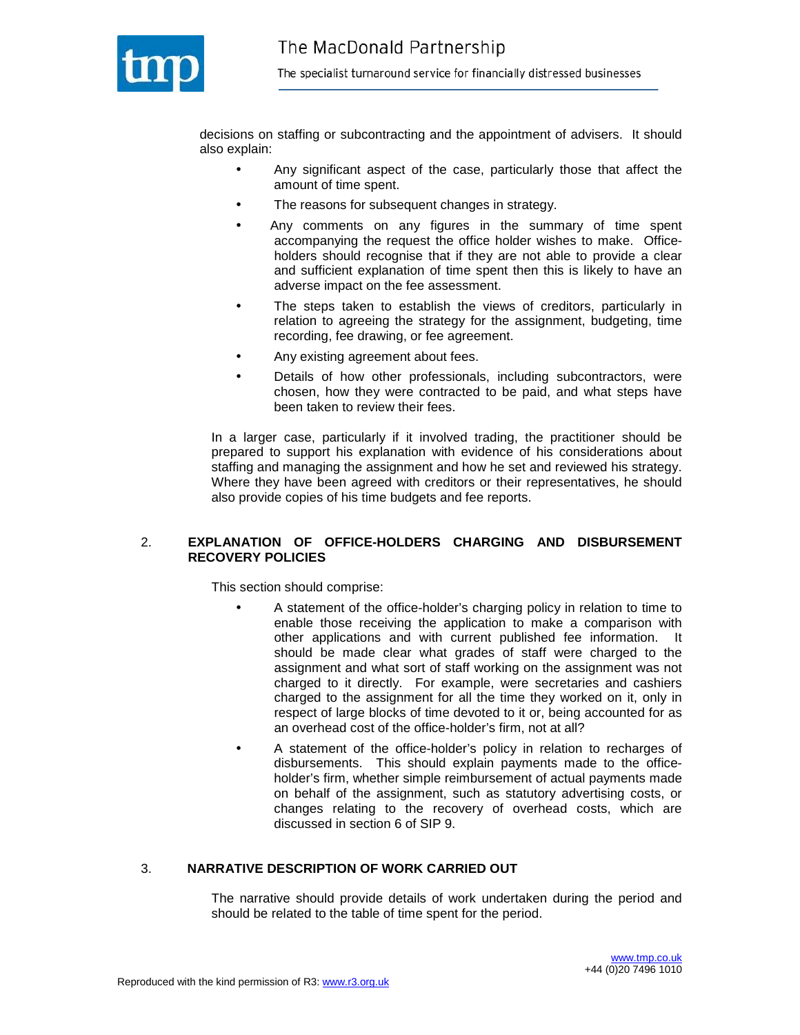

decisions on staffing or subcontracting and the appointment of advisers. It should also explain:

- Any significant aspect of the case, particularly those that affect the amount of time spent.
- The reasons for subsequent changes in strategy.
- Any comments on any figures in the summary of time spent accompanying the request the office holder wishes to make. Officeholders should recognise that if they are not able to provide a clear and sufficient explanation of time spent then this is likely to have an adverse impact on the fee assessment.
- The steps taken to establish the views of creditors, particularly in relation to agreeing the strategy for the assignment, budgeting, time recording, fee drawing, or fee agreement.
- Any existing agreement about fees.
- Details of how other professionals, including subcontractors, were chosen, how they were contracted to be paid, and what steps have been taken to review their fees.

In a larger case, particularly if it involved trading, the practitioner should be prepared to support his explanation with evidence of his considerations about staffing and managing the assignment and how he set and reviewed his strategy. Where they have been agreed with creditors or their representatives, he should also provide copies of his time budgets and fee reports.

#### 2. **EXPLANATION OF OFFICE-HOLDERS CHARGING AND DISBURSEMENT RECOVERY POLICIES**

This section should comprise:

- A statement of the office-holder's charging policy in relation to time to enable those receiving the application to make a comparison with other applications and with current published fee information. It should be made clear what grades of staff were charged to the assignment and what sort of staff working on the assignment was not charged to it directly. For example, were secretaries and cashiers charged to the assignment for all the time they worked on it, only in respect of large blocks of time devoted to it or, being accounted for as an overhead cost of the office-holder's firm, not at all?
- A statement of the office-holder's policy in relation to recharges of disbursements. This should explain payments made to the officeholder's firm, whether simple reimbursement of actual payments made on behalf of the assignment, such as statutory advertising costs, or changes relating to the recovery of overhead costs, which are discussed in section 6 of SIP 9.

#### 3. **NARRATIVE DESCRIPTION OF WORK CARRIED OUT**

The narrative should provide details of work undertaken during the period and should be related to the table of time spent for the period.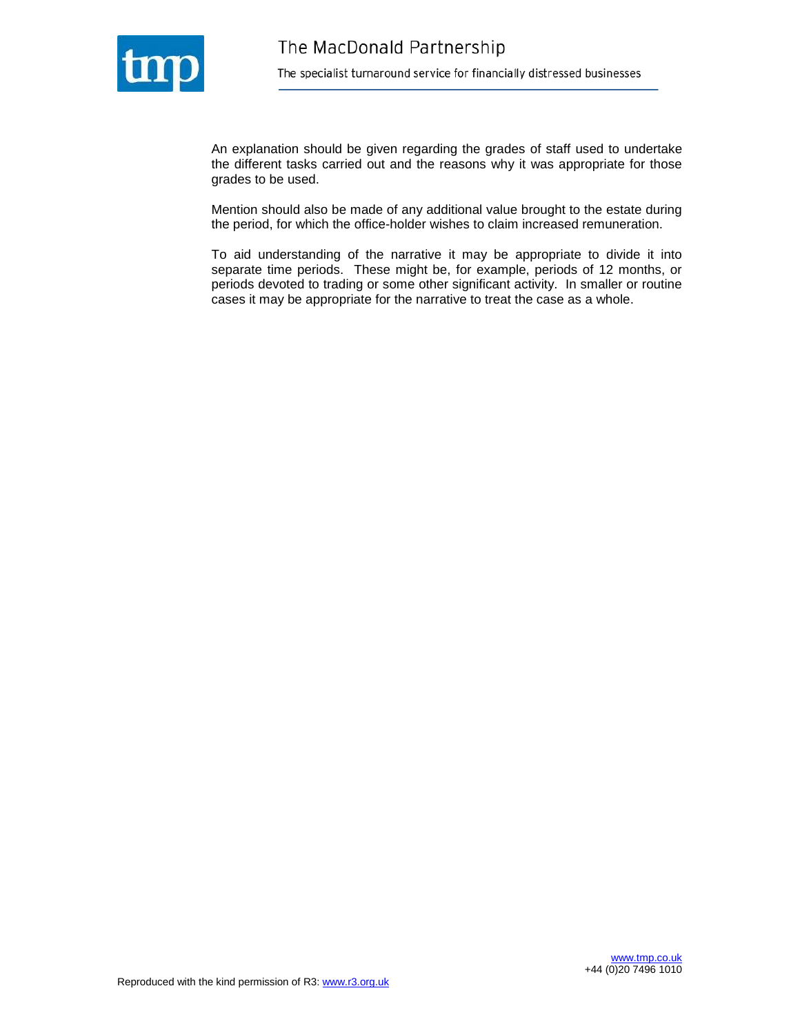

An explanation should be given regarding the grades of staff used to undertake the different tasks carried out and the reasons why it was appropriate for those grades to be used.

Mention should also be made of any additional value brought to the estate during the period, for which the office-holder wishes to claim increased remuneration.

To aid understanding of the narrative it may be appropriate to divide it into separate time periods. These might be, for example, periods of 12 months, or periods devoted to trading or some other significant activity. In smaller or routine cases it may be appropriate for the narrative to treat the case as a whole.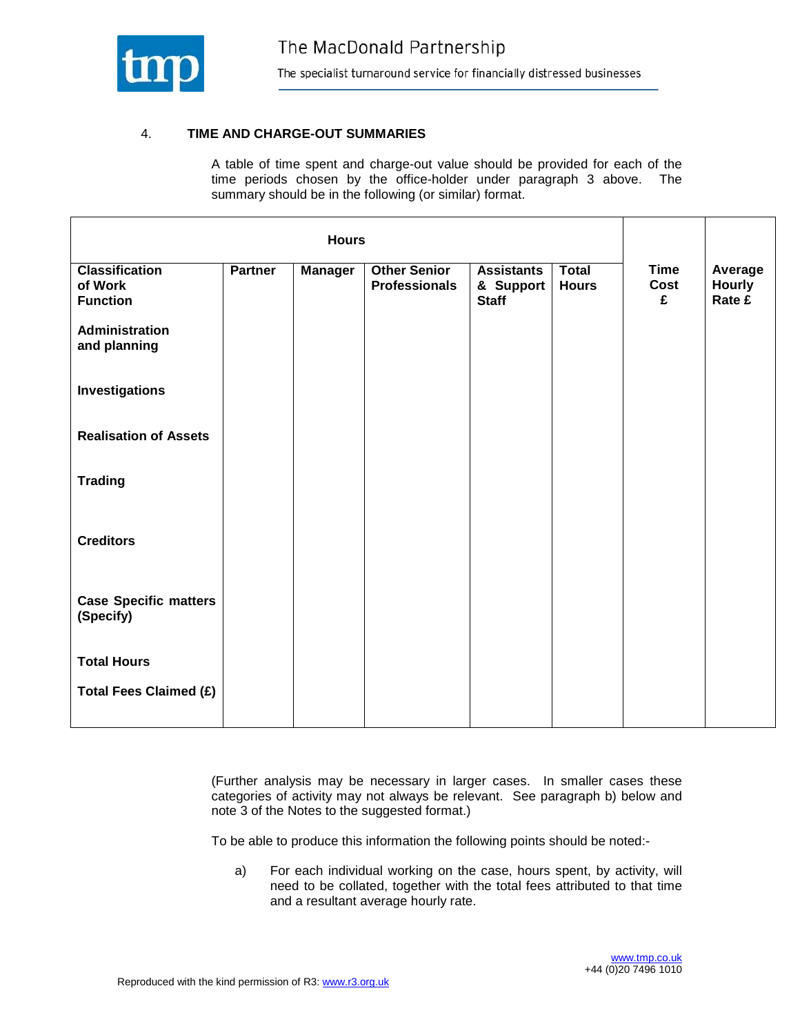

## 4. **TIME AND CHARGE-OUT SUMMARIES**

A table of time spent and charge-out value should be provided for each of the time periods chosen by the office-holder under paragraph 3 above. The summary should be in the following (or similar) format.

|                                                     |                | <b>Hours</b>   |                                             |                                                |                              |                          |                                    |
|-----------------------------------------------------|----------------|----------------|---------------------------------------------|------------------------------------------------|------------------------------|--------------------------|------------------------------------|
| <b>Classification</b><br>of Work<br><b>Function</b> | <b>Partner</b> | <b>Manager</b> | <b>Other Senior</b><br><b>Professionals</b> | <b>Assistants</b><br>& Support<br><b>Staff</b> | <b>Total</b><br><b>Hours</b> | <b>Time</b><br>Cost<br>£ | Average<br><b>Hourly</b><br>Rate £ |
| <b>Administration</b><br>and planning               |                |                |                                             |                                                |                              |                          |                                    |
| Investigations                                      |                |                |                                             |                                                |                              |                          |                                    |
| <b>Realisation of Assets</b>                        |                |                |                                             |                                                |                              |                          |                                    |
| <b>Trading</b>                                      |                |                |                                             |                                                |                              |                          |                                    |
| <b>Creditors</b>                                    |                |                |                                             |                                                |                              |                          |                                    |
| <b>Case Specific matters</b><br>(Specify)           |                |                |                                             |                                                |                              |                          |                                    |
| <b>Total Hours</b>                                  |                |                |                                             |                                                |                              |                          |                                    |
| <b>Total Fees Claimed (£)</b>                       |                |                |                                             |                                                |                              |                          |                                    |

(Further analysis may be necessary in larger cases. In smaller cases these categories of activity may not always be relevant. See paragraph b) below and note 3 of the Notes to the suggested format.)

To be able to produce this information the following points should be noted:-

a) For each individual working on the case, hours spent, by activity, will need to be collated, together with the total fees attributed to that time and a resultant average hourly rate.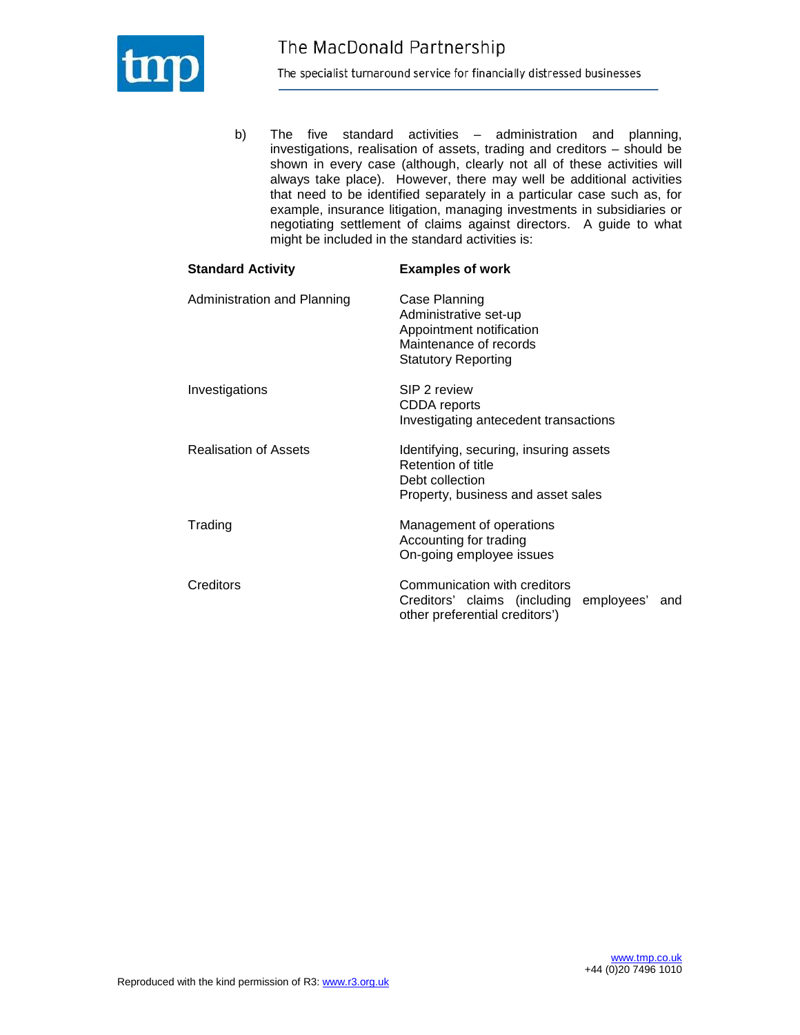

b) The five standard activities – administration and planning, investigations, realisation of assets, trading and creditors – should be shown in every case (although, clearly not all of these activities will always take place). However, there may well be additional activities that need to be identified separately in a particular case such as, for example, insurance litigation, managing investments in subsidiaries or negotiating settlement of claims against directors. A guide to what might be included in the standard activities is:

| <b>Standard Activity</b>     | <b>Examples of work</b>                                                                                                    |
|------------------------------|----------------------------------------------------------------------------------------------------------------------------|
| Administration and Planning  | Case Planning<br>Administrative set-up<br>Appointment notification<br>Maintenance of records<br><b>Statutory Reporting</b> |
| Investigations               | SIP 2 review<br>CDDA reports<br>Investigating antecedent transactions                                                      |
| <b>Realisation of Assets</b> | Identifying, securing, insuring assets<br>Retention of title<br>Debt collection<br>Property, business and asset sales      |
| Trading                      | Management of operations<br>Accounting for trading<br>On-going employee issues                                             |
| Creditors                    | Communication with creditors<br>Creditors' claims (including<br>employees'<br>and<br>other preferential creditors')        |